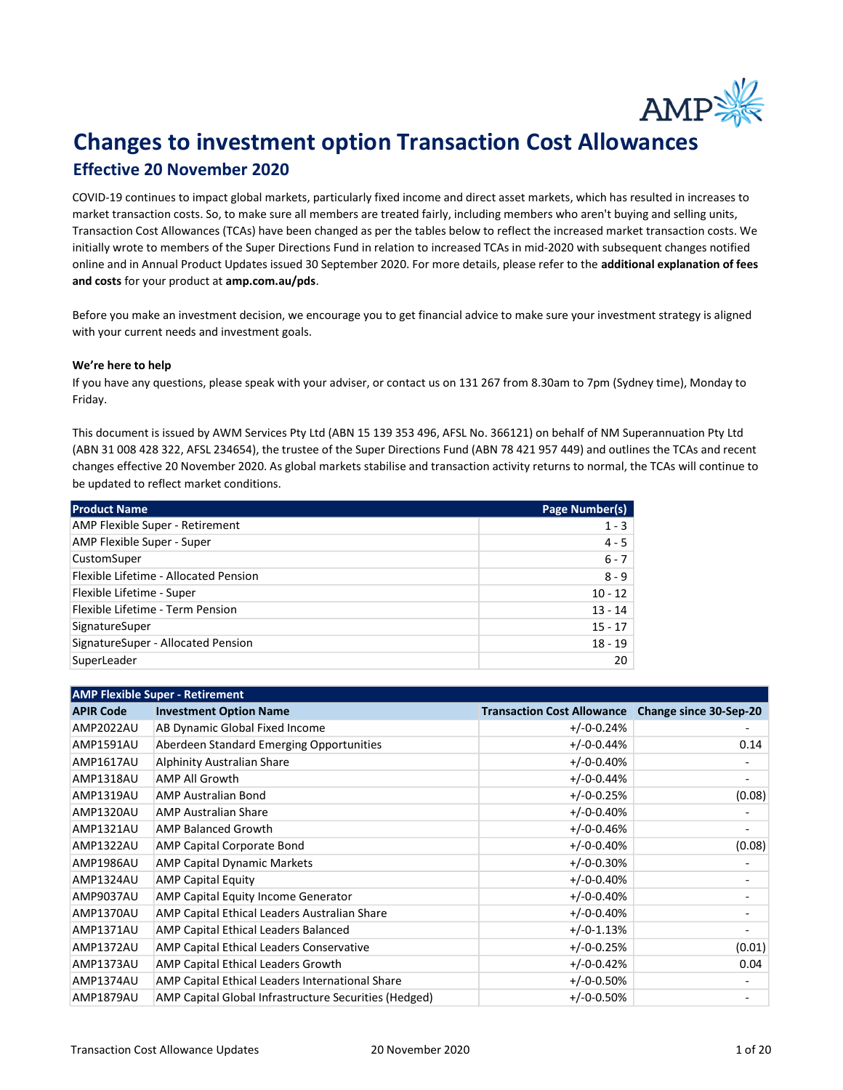

## Changes to investment option Transaction Cost Allowances

## Effective 20 November 2020

COVID-19 continues to impact global markets, particularly fixed income and direct asset markets, which has resulted in increases to market transaction costs. So, to make sure all members are treated fairly, including members who aren't buying and selling units, Transaction Cost Allowances (TCAs) have been changed as per the tables below to reflect the increased market transaction costs. We initially wrote to members of the Super Directions Fund in relation to increased TCAs in mid-2020 with subsequent changes notified online and in Annual Product Updates issued 30 September 2020. For more details, please refer to the additional explanation of fees and costs for your product at amp.com.au/pds.

Before you make an investment decision, we encourage you to get financial advice to make sure your investment strategy is aligned with your current needs and investment goals.

## We're here to help

If you have any questions, please speak with your adviser, or contact us on 131 267 from 8.30am to 7pm (Sydney time), Monday to Friday.

This document is issued by AWM Services Pty Ltd (ABN 15 139 353 496, AFSL No. 366121) on behalf of NM Superannuation Pty Ltd (ABN 31 008 428 322, AFSL 234654), the trustee of the Super Directions Fund (ABN 78 421 957 449) and outlines the TCAs and recent changes effective 20 November 2020. As global markets stabilise and transaction activity returns to normal, the TCAs will continue to be updated to reflect market conditions.

| <b>Product Name</b>                    | Page Number(s) |
|----------------------------------------|----------------|
| <b>AMP Flexible Super - Retirement</b> | $1 - 3$        |
| AMP Flexible Super - Super             | $4 - 5$        |
| <b>CustomSuper</b>                     | $6 - 7$        |
| Flexible Lifetime - Allocated Pension  | $8 - 9$        |
| Flexible Lifetime - Super              | $10 - 12$      |
| Flexible Lifetime - Term Pension       | $13 - 14$      |
| SignatureSuper                         | $15 - 17$      |
| SignatureSuper - Allocated Pension     | $18 - 19$      |
| SuperLeader                            | 20             |

| <b>AMP Flexible Super - Retirement</b> |                                                       |                                   |                        |
|----------------------------------------|-------------------------------------------------------|-----------------------------------|------------------------|
| <b>APIR Code</b>                       | <b>Investment Option Name</b>                         | <b>Transaction Cost Allowance</b> | Change since 30-Sep-20 |
| AMP2022AU                              | AB Dynamic Global Fixed Income                        | $+/-0-0.24%$                      |                        |
| AMP1591AU                              | Aberdeen Standard Emerging Opportunities              | $+/-0-0.44%$                      | 0.14                   |
| AMP1617AU                              | <b>Alphinity Australian Share</b>                     | $+/-0-0.40%$                      |                        |
| AMP1318AU                              | <b>AMP All Growth</b>                                 | $+/-0-0.44%$                      |                        |
| AMP1319AU                              | <b>AMP Australian Bond</b>                            | $+/-0-0.25%$                      | (0.08)                 |
| AMP1320AU                              | <b>AMP Australian Share</b>                           | $+/-0-0.40%$                      |                        |
| AMP1321AU                              | <b>AMP Balanced Growth</b>                            | $+/-0-0.46%$                      |                        |
| AMP1322AU                              | AMP Capital Corporate Bond                            | $+/-0-0.40%$                      | (0.08)                 |
| AMP1986AU                              | <b>AMP Capital Dynamic Markets</b>                    | $+/-0-0.30%$                      |                        |
| AMP1324AU                              | <b>AMP Capital Equity</b>                             | $+/-0-0.40%$                      |                        |
| AMP9037AU                              | AMP Capital Equity Income Generator                   | $+/-0-0.40%$                      |                        |
| AMP1370AU                              | AMP Capital Ethical Leaders Australian Share          | $+/-0-0.40%$                      |                        |
| AMP1371AU                              | AMP Capital Ethical Leaders Balanced                  | $+/-0-1.13%$                      |                        |
| AMP1372AU                              | AMP Capital Ethical Leaders Conservative              | $+/-0-0.25%$                      | (0.01)                 |
| AMP1373AU                              | AMP Capital Ethical Leaders Growth                    | $+/-0-0.42%$                      | 0.04                   |
| AMP1374AU                              | AMP Capital Ethical Leaders International Share       | $+/-0-0.50\%$                     |                        |
| AMP1879AU                              | AMP Capital Global Infrastructure Securities (Hedged) | $+/-0-0.50%$                      |                        |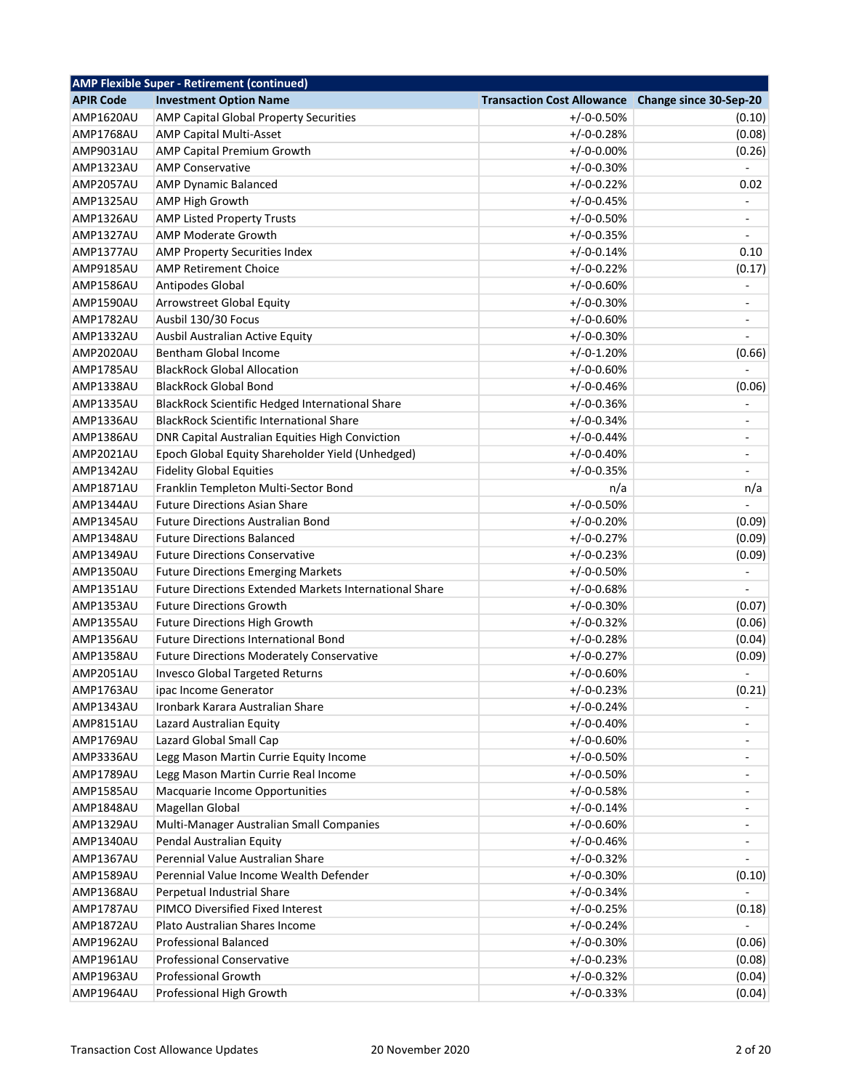|                  | <b>AMP Flexible Super - Retirement (continued)</b>            |                                                   |                              |
|------------------|---------------------------------------------------------------|---------------------------------------------------|------------------------------|
| <b>APIR Code</b> | <b>Investment Option Name</b>                                 | Transaction Cost Allowance Change since 30-Sep-20 |                              |
| <b>AMP1620AU</b> | AMP Capital Global Property Securities                        | $+/-0-0.50%$                                      | (0.10)                       |
| AMP1768AU        | <b>AMP Capital Multi-Asset</b>                                | $+/-0-0.28%$                                      | (0.08)                       |
| AMP9031AU        | <b>AMP Capital Premium Growth</b>                             | $+/-0-0.00%$                                      | (0.26)                       |
| AMP1323AU        | <b>AMP Conservative</b>                                       | $+/-0-0.30%$                                      |                              |
| AMP2057AU        | <b>AMP Dynamic Balanced</b>                                   | $+/-0-0.22%$                                      | 0.02                         |
| AMP1325AU        | <b>AMP High Growth</b>                                        | $+/-0-0.45%$                                      |                              |
| AMP1326AU        | <b>AMP Listed Property Trusts</b>                             | $+/-0-0.50%$                                      | ÷                            |
| AMP1327AU        | <b>AMP Moderate Growth</b>                                    | $+/-0-0.35%$                                      |                              |
| AMP1377AU        | <b>AMP Property Securities Index</b>                          | $+/-0-0.14%$                                      | 0.10                         |
| <b>AMP9185AU</b> | <b>AMP Retirement Choice</b>                                  | $+/-0-0.22%$                                      | (0.17)                       |
| AMP1586AU        | Antipodes Global                                              | $+/-0-0.60%$                                      |                              |
| AMP1590AU        | Arrowstreet Global Equity                                     | $+/-0-0.30%$                                      | ÷                            |
| AMP1782AU        | Ausbil 130/30 Focus                                           | $+/-0-0.60%$                                      | ä,                           |
| AMP1332AU        | Ausbil Australian Active Equity                               | $+/-0-0.30%$                                      |                              |
| AMP2020AU        | Bentham Global Income                                         | $+/-0-1.20%$                                      | (0.66)                       |
| AMP1785AU        | <b>BlackRock Global Allocation</b>                            | $+/-0-0.60%$                                      |                              |
| AMP1338AU        | <b>BlackRock Global Bond</b>                                  | $+/-0-0.46%$                                      | (0.06)                       |
| AMP1335AU        | BlackRock Scientific Hedged International Share               | $+/-0-0.36%$                                      | $\overline{a}$               |
| AMP1336AU        | <b>BlackRock Scientific International Share</b>               | $+/-0-0.34%$                                      | $\qquad \qquad \blacksquare$ |
| AMP1386AU        | DNR Capital Australian Equities High Conviction               | $+/-0-0.44%$                                      | $\overline{\phantom{a}}$     |
| AMP2021AU        | Epoch Global Equity Shareholder Yield (Unhedged)              | $+/-0-0.40%$                                      | $\overline{\phantom{a}}$     |
| AMP1342AU        | <b>Fidelity Global Equities</b>                               | $+/-0-0.35%$                                      | $\overline{\phantom{a}}$     |
| AMP1871AU        | Franklin Templeton Multi-Sector Bond                          | n/a                                               | n/a                          |
| AMP1344AU        | <b>Future Directions Asian Share</b>                          | $+/-0-0.50%$                                      |                              |
| AMP1345AU        | <b>Future Directions Australian Bond</b>                      | $+/-0-0.20%$                                      | (0.09)                       |
| AMP1348AU        | <b>Future Directions Balanced</b>                             | $+/-0-0.27%$                                      | (0.09)                       |
| AMP1349AU        | <b>Future Directions Conservative</b>                         | $+/-0-0.23%$                                      | (0.09)                       |
| AMP1350AU        | <b>Future Directions Emerging Markets</b>                     | $+/-0-0.50%$                                      | $\blacksquare$               |
| AMP1351AU        | <b>Future Directions Extended Markets International Share</b> | $+/-0-0.68%$                                      |                              |
| AMP1353AU        | <b>Future Directions Growth</b>                               | $+/-0-0.30%$                                      | (0.07)                       |
| AMP1355AU        | <b>Future Directions High Growth</b>                          | $+/-0-0.32%$                                      | (0.06)                       |
| AMP1356AU        | <b>Future Directions International Bond</b>                   | $+/-0-0.28%$                                      | (0.04)                       |
| AMP1358AU        | <b>Future Directions Moderately Conservative</b>              | $+/-0-0.27%$                                      | (0.09)                       |
| AMP2051AU        | <b>Invesco Global Targeted Returns</b>                        | $+/-0-0.60%$                                      |                              |
| AMP1763AU        | ipac Income Generator                                         | $+/-0-0.23%$                                      | (0.21)                       |
| AMP1343AU        | Ironbark Karara Australian Share                              | $+/-0-0.24%$                                      |                              |
| <b>AMP8151AU</b> |                                                               | $+/-0-0.40%$                                      |                              |
| AMP1769AU        | Lazard Australian Equity<br>Lazard Global Small Cap           | $+/-0-0.60%$                                      |                              |
|                  | Legg Mason Martin Currie Equity Income                        |                                                   |                              |
| AMP3336AU        |                                                               | $+/-0-0.50%$                                      | $\overline{\phantom{0}}$     |
| AMP1789AU        | Legg Mason Martin Currie Real Income                          | $+/-0-0.50%$                                      | $\overline{\phantom{a}}$     |
| AMP1585AU        | Macquarie Income Opportunities                                | $+/-0-0.58%$                                      | ٠                            |
| AMP1848AU        | Magellan Global                                               | $+/-0-0.14%$                                      | -                            |
| AMP1329AU        | Multi-Manager Australian Small Companies                      | $+/-0-0.60%$                                      | -                            |
| AMP1340AU        | Pendal Australian Equity                                      | $+/-0-0.46%$                                      | $\frac{1}{2}$                |
| AMP1367AU        | Perennial Value Australian Share                              | $+/-0-0.32%$                                      |                              |
| AMP1589AU        | Perennial Value Income Wealth Defender                        | $+/-0-0.30%$                                      | (0.10)                       |
| AMP1368AU        | Perpetual Industrial Share                                    | $+/-0-0.34%$                                      |                              |
| AMP1787AU        | PIMCO Diversified Fixed Interest                              | $+/-0-0.25%$                                      | (0.18)                       |
| AMP1872AU        | Plato Australian Shares Income                                | $+/-0-0.24%$                                      |                              |
| AMP1962AU        | <b>Professional Balanced</b>                                  | $+/-0-0.30%$                                      | (0.06)                       |
| AMP1961AU        | <b>Professional Conservative</b>                              | $+/-0-0.23%$                                      | (0.08)                       |
| AMP1963AU        | <b>Professional Growth</b>                                    | $+/-0-0.32%$                                      | (0.04)                       |
| AMP1964AU        | Professional High Growth                                      | $+/-0-0.33%$                                      | (0.04)                       |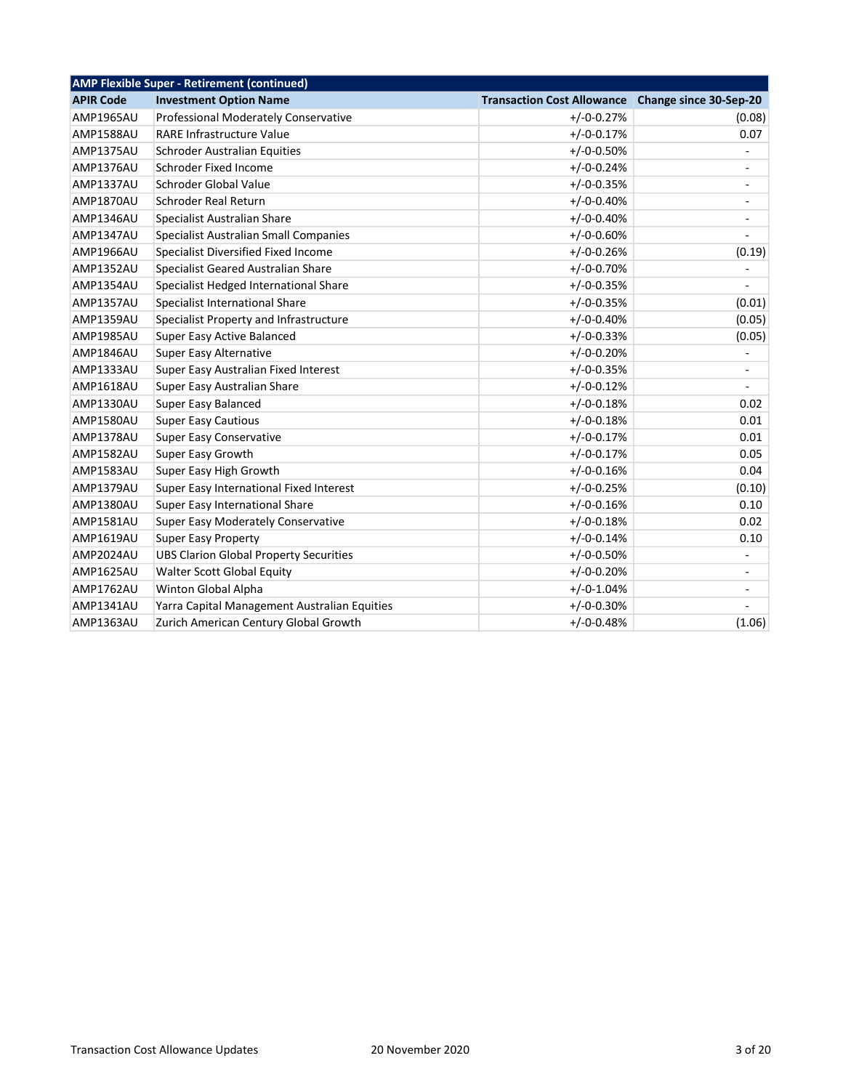| <b>AMP Flexible Super - Retirement (continued)</b> |                                   |                          |  |
|----------------------------------------------------|-----------------------------------|--------------------------|--|
| <b>Investment Option Name</b>                      | <b>Transaction Cost Allowance</b> | Change since 30-Sep-20   |  |
| Professional Moderately Conservative               | $+/-0-0.27%$                      | (0.08)                   |  |
| <b>RARE Infrastructure Value</b>                   | $+/-0-0.17%$                      | 0.07                     |  |
| Schroder Australian Equities                       | $+/-0-0.50%$                      |                          |  |
| Schroder Fixed Income                              | $+/-0-0.24%$                      | ÷                        |  |
| Schroder Global Value                              | $+/-0-0.35%$                      | $\overline{\phantom{a}}$ |  |
| <b>Schroder Real Return</b>                        | $+/-0-0.40%$                      | ÷,                       |  |
| Specialist Australian Share                        | $+/-0-0.40%$                      | $\overline{\phantom{a}}$ |  |
| Specialist Australian Small Companies              | $+/-0-0.60%$                      |                          |  |
| Specialist Diversified Fixed Income                | $+/-0-0.26%$                      | (0.19)                   |  |
| Specialist Geared Australian Share                 | $+/-0-0.70%$                      |                          |  |
| Specialist Hedged International Share              | $+/-0-0.35%$                      |                          |  |
| Specialist International Share                     | $+/-0-0.35%$                      | (0.01)                   |  |
| Specialist Property and Infrastructure             | $+/-0-0.40%$                      | (0.05)                   |  |
| Super Easy Active Balanced                         | $+/-0-0.33%$                      | (0.05)                   |  |
| Super Easy Alternative                             | $+/-0-0.20%$                      |                          |  |
| Super Easy Australian Fixed Interest               | $+/-0-0.35%$                      | $\overline{\phantom{a}}$ |  |
| Super Easy Australian Share                        | $+/-0-0.12%$                      |                          |  |
| Super Easy Balanced                                | $+/-0-0.18%$                      | 0.02                     |  |
| <b>Super Easy Cautious</b>                         | $+/-0-0.18%$                      | 0.01                     |  |
| Super Easy Conservative                            | $+/-0-0.17%$                      | 0.01                     |  |
| Super Easy Growth                                  | $+/-0-0.17%$                      | 0.05                     |  |
| Super Easy High Growth                             | $+/-0-0.16%$                      | 0.04                     |  |
| Super Easy International Fixed Interest            | $+/-0-0.25%$                      | (0.10)                   |  |
| Super Easy International Share                     | $+/-0-0.16%$                      | 0.10                     |  |
| Super Easy Moderately Conservative                 | $+/-0-0.18%$                      | 0.02                     |  |
| <b>Super Easy Property</b>                         | $+/-0-0.14%$                      | 0.10                     |  |
| <b>UBS Clarion Global Property Securities</b>      | $+/-0-0.50%$                      | $\overline{\phantom{a}}$ |  |
| Walter Scott Global Equity                         | $+/-0-0.20%$                      |                          |  |
| Winton Global Alpha                                | $+/-0-1.04%$                      | $\overline{\phantom{a}}$ |  |
| Yarra Capital Management Australian Equities       | $+/-0-0.30%$                      |                          |  |
| Zurich American Century Global Growth              | $+/-0-0.48%$                      | (1.06)                   |  |
|                                                    |                                   |                          |  |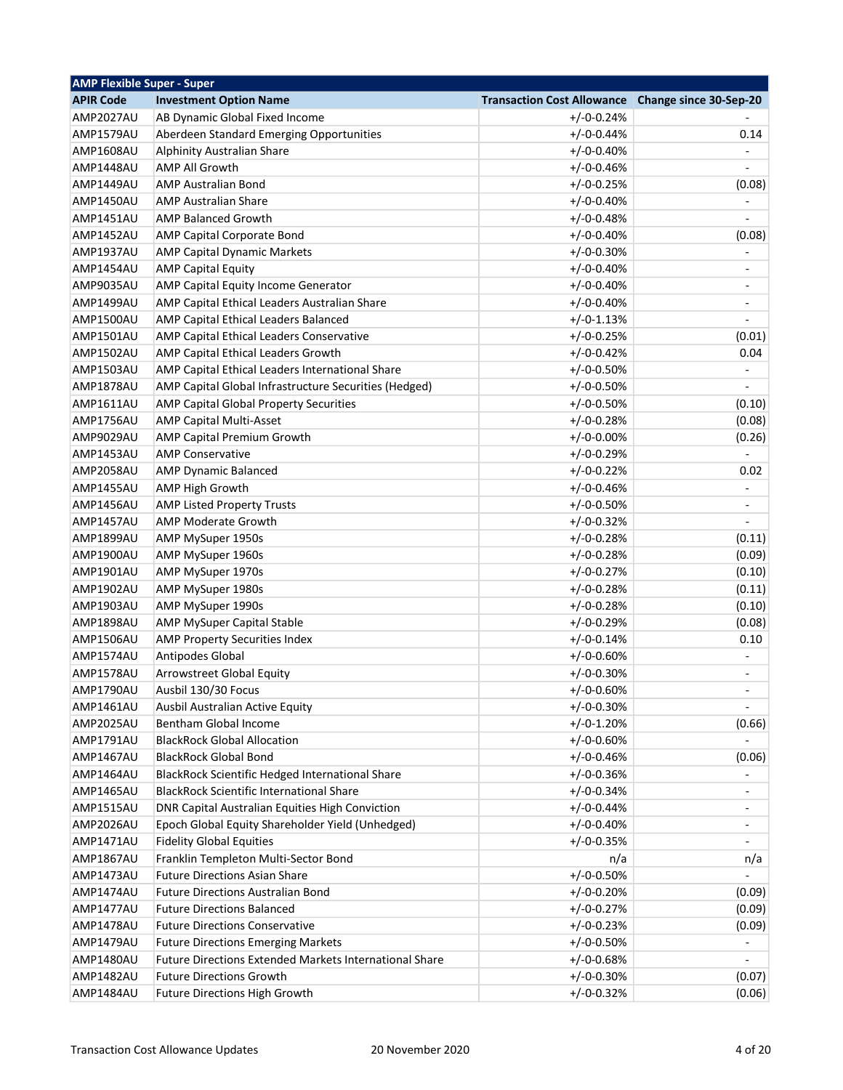| <b>AMP Flexible Super - Super</b> |                                                          |                                   |                              |
|-----------------------------------|----------------------------------------------------------|-----------------------------------|------------------------------|
| <b>APIR Code</b>                  | <b>Investment Option Name</b>                            | <b>Transaction Cost Allowance</b> | Change since 30-Sep-20       |
| AMP2027AU                         | AB Dynamic Global Fixed Income                           | $+/-0-0.24%$                      |                              |
| AMP1579AU                         | Aberdeen Standard Emerging Opportunities                 | $+/-0-0.44%$                      | 0.14                         |
| <b>AMP1608AU</b>                  | Alphinity Australian Share                               | $+/-0-0.40%$                      |                              |
| AMP1448AU                         | <b>AMP All Growth</b>                                    | $+/-0-0.46%$                      | $\overline{a}$               |
| AMP1449AU                         | <b>AMP Australian Bond</b>                               | $+/-0-0.25%$                      | (0.08)                       |
| AMP1450AU                         | <b>AMP Australian Share</b>                              | $+/-0-0.40%$                      |                              |
| AMP1451AU                         | <b>AMP Balanced Growth</b>                               | $+/-0-0.48%$                      |                              |
| AMP1452AU                         | AMP Capital Corporate Bond                               | $+/-0-0.40%$                      | (0.08)                       |
| <b>AMP1937AU</b>                  | <b>AMP Capital Dynamic Markets</b>                       | $+/-0-0.30%$                      |                              |
| AMP1454AU                         | <b>AMP Capital Equity</b>                                | $+/-0-0.40%$                      | $\overline{a}$               |
| AMP9035AU                         | AMP Capital Equity Income Generator                      | $+/-0-0.40%$                      | $\overline{\phantom{0}}$     |
| AMP1499AU                         | AMP Capital Ethical Leaders Australian Share             | $+/-0-0.40%$                      | $\overline{a}$               |
| AMP1500AU                         | AMP Capital Ethical Leaders Balanced                     | $+/-0-1.13%$                      |                              |
| AMP1501AU                         | AMP Capital Ethical Leaders Conservative                 | $+/-0-0.25%$                      | (0.01)                       |
| AMP1502AU                         | AMP Capital Ethical Leaders Growth                       | $+/-0-0.42%$                      | 0.04                         |
| AMP1503AU                         | AMP Capital Ethical Leaders International Share          | $+/-0-0.50%$                      | $\qquad \qquad \blacksquare$ |
| AMP1878AU                         | AMP Capital Global Infrastructure Securities (Hedged)    | $+/-0-0.50%$                      |                              |
| <b>AMP1611AU</b>                  | AMP Capital Global Property Securities                   | $+/-0-0.50%$                      | (0.10)                       |
| AMP1756AU                         | <b>AMP Capital Multi-Asset</b>                           | $+/-0-0.28%$                      | (0.08)                       |
| AMP9029AU                         | AMP Capital Premium Growth                               | $+/-0-0.00%$                      | (0.26)                       |
| AMP1453AU                         | <b>AMP Conservative</b>                                  | $+/-0-0.29%$                      | $\frac{1}{2}$                |
| AMP2058AU                         | <b>AMP Dynamic Balanced</b>                              | $+/-0-0.22%$                      | 0.02                         |
| AMP1455AU                         | AMP High Growth                                          | $+/-0-0.46%$                      | $\blacksquare$               |
| AMP1456AU                         | <b>AMP Listed Property Trusts</b>                        | $+/-0-0.50%$                      | ÷,                           |
| AMP1457AU                         | AMP Moderate Growth                                      | $+/-0-0.32%$                      |                              |
| AMP1899AU                         | AMP MySuper 1950s                                        | $+/-0-0.28%$                      | (0.11)                       |
| AMP1900AU                         | AMP MySuper 1960s                                        | $+/-0-0.28%$                      | (0.09)                       |
| AMP1901AU                         | AMP MySuper 1970s                                        | $+/-0-0.27%$                      | (0.10)                       |
| AMP1902AU                         | AMP MySuper 1980s                                        | $+/-0-0.28%$                      | (0.11)                       |
| AMP1903AU                         | AMP MySuper 1990s                                        | $+/-0-0.28%$                      | (0.10)                       |
| AMP1898AU                         | <b>AMP MySuper Capital Stable</b>                        | $+/-0-0.29%$                      | (0.08)                       |
| AMP1506AU                         | AMP Property Securities Index                            | $+/-0-0.14%$                      | 0.10                         |
| AMP1574AU                         | Antipodes Global                                         | $+/-0-0.60%$                      | $\overline{\phantom{0}}$     |
| AMP1578AU                         | Arrowstreet Global Equity                                | $+/-0-0.30%$                      |                              |
| AMP1790AU                         | Ausbil 130/30 Focus                                      | $+/-0-0.60%$                      | $\overline{a}$               |
| AMP1461AU                         |                                                          | $+/-0-0.30%$                      |                              |
| AMP2025AU                         | Ausbil Australian Active Equity<br>Bentham Global Income | $+/-0-1.20%$                      |                              |
|                                   | <b>BlackRock Global Allocation</b>                       |                                   | (0.66)                       |
| AMP1791AU                         | <b>BlackRock Global Bond</b>                             | $+/-0-0.60%$                      |                              |
| AMP1467AU                         |                                                          | $+/-0-0.46%$                      | (0.06)                       |
| AMP1464AU                         | BlackRock Scientific Hedged International Share          | $+/-0-0.36%$                      |                              |
| AMP1465AU                         | <b>BlackRock Scientific International Share</b>          | $+/-0-0.34%$                      | -                            |
| AMP1515AU                         | DNR Capital Australian Equities High Conviction          | $+/-0-0.44%$                      | ۰                            |
| AMP2026AU                         | Epoch Global Equity Shareholder Yield (Unhedged)         | $+/-0-0.40%$                      | ۰                            |
| AMP1471AU                         | <b>Fidelity Global Equities</b>                          | $+/-0-0.35%$                      | $\overline{\phantom{a}}$     |
| <b>AMP1867AU</b>                  | Franklin Templeton Multi-Sector Bond                     | n/a                               | n/a                          |
| AMP1473AU                         | <b>Future Directions Asian Share</b>                     | $+/-0-0.50%$                      |                              |
| AMP1474AU                         | <b>Future Directions Australian Bond</b>                 | $+/-0-0.20%$                      | (0.09)                       |
| AMP1477AU                         | <b>Future Directions Balanced</b>                        | $+/-0-0.27%$                      | (0.09)                       |
| AMP1478AU                         | <b>Future Directions Conservative</b>                    | $+/-0-0.23%$                      | (0.09)                       |
| AMP1479AU                         | <b>Future Directions Emerging Markets</b>                | $+/-0-0.50%$                      |                              |
| AMP1480AU                         | Future Directions Extended Markets International Share   | $+/-0-0.68%$                      | $\overline{a}$               |
| AMP1482AU                         | <b>Future Directions Growth</b>                          | $+/-0-0.30%$                      | (0.07)                       |
| AMP1484AU                         | <b>Future Directions High Growth</b>                     | $+/-0-0.32%$                      | (0.06)                       |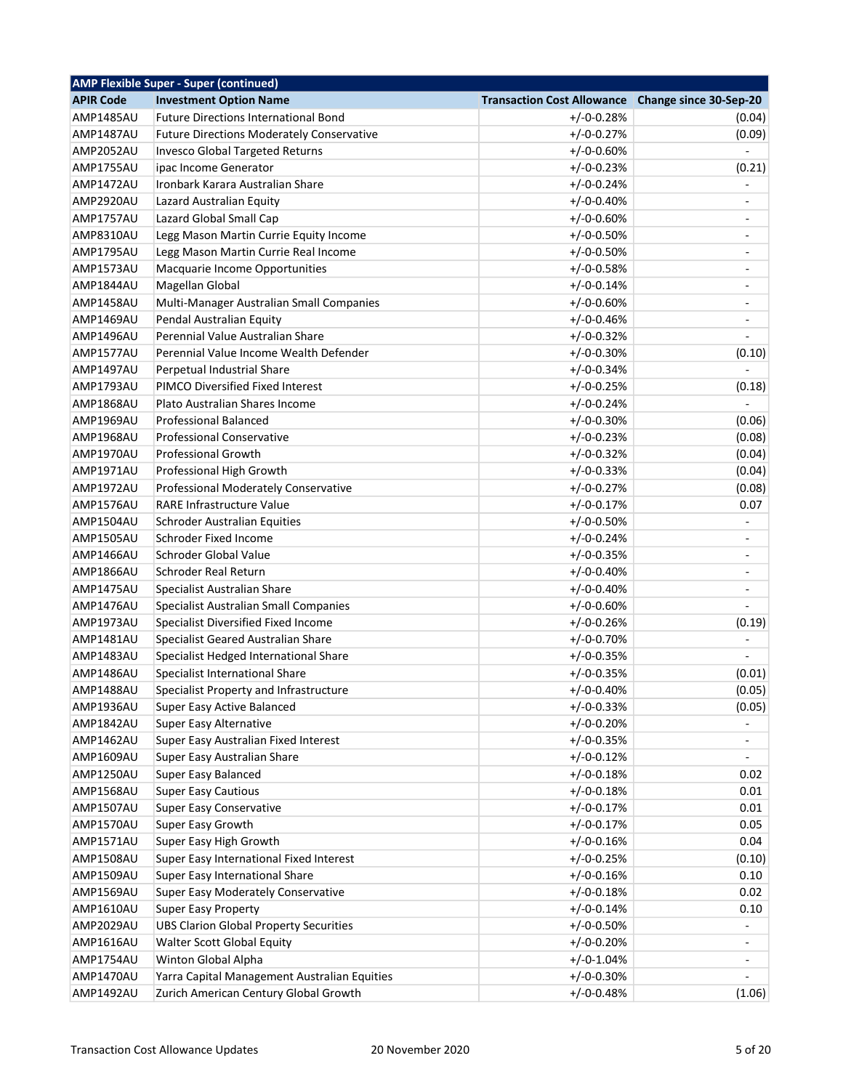|                  | <b>AMP Flexible Super - Super (continued)</b>    |                                                   |                              |
|------------------|--------------------------------------------------|---------------------------------------------------|------------------------------|
| <b>APIR Code</b> | <b>Investment Option Name</b>                    | Transaction Cost Allowance Change since 30-Sep-20 |                              |
| AMP1485AU        | <b>Future Directions International Bond</b>      | $+/-0-0.28%$                                      | (0.04)                       |
| <b>AMP1487AU</b> | <b>Future Directions Moderately Conservative</b> | $+/-0-0.27%$                                      | (0.09)                       |
| AMP2052AU        | <b>Invesco Global Targeted Returns</b>           | $+/-0-0.60%$                                      | $\blacksquare$               |
| AMP1755AU        | ipac Income Generator                            | $+/-0-0.23%$                                      | (0.21)                       |
| AMP1472AU        | Ironbark Karara Australian Share                 | $+/-0-0.24%$                                      |                              |
| AMP2920AU        | Lazard Australian Equity                         | $+/-0-0.40%$                                      | -                            |
| AMP1757AU        | Lazard Global Small Cap                          | $+/-0-0.60%$                                      | $\overline{\phantom{a}}$     |
| <b>AMP8310AU</b> | Legg Mason Martin Currie Equity Income           | $+/-0-0.50%$                                      | $\overline{\phantom{a}}$     |
| AMP1795AU        | Legg Mason Martin Currie Real Income             | $+/-0-0.50%$                                      | $\blacksquare$               |
| AMP1573AU        | Macquarie Income Opportunities                   | $+/-0-0.58%$                                      | $\overline{a}$               |
| AMP1844AU        | Magellan Global                                  | $+/-0-0.14%$                                      | $\overline{\phantom{0}}$     |
| AMP1458AU        | Multi-Manager Australian Small Companies         | $+/-0-0.60%$                                      | ÷,                           |
| AMP1469AU        | Pendal Australian Equity                         | $+/-0-0.46%$                                      | $\overline{\phantom{a}}$     |
| AMP1496AU        | Perennial Value Australian Share                 | $+/-0-0.32%$                                      |                              |
| <b>AMP1577AU</b> | Perennial Value Income Wealth Defender           | $+/-0-0.30%$                                      | (0.10)                       |
| AMP1497AU        | Perpetual Industrial Share                       | $+/-0-0.34%$                                      |                              |
| AMP1793AU        | PIMCO Diversified Fixed Interest                 | $+/-0-0.25%$                                      | (0.18)                       |
| AMP1868AU        | Plato Australian Shares Income                   | $+/-0-0.24%$                                      | $\frac{1}{2}$                |
| AMP1969AU        | <b>Professional Balanced</b>                     | $+/-0-0.30%$                                      | (0.06)                       |
| AMP1968AU        | <b>Professional Conservative</b>                 | $+/-0-0.23%$                                      | (0.08)                       |
| AMP1970AU        | <b>Professional Growth</b>                       | $+/-0-0.32%$                                      | (0.04)                       |
| AMP1971AU        | Professional High Growth                         | $+/-0-0.33%$                                      | (0.04)                       |
| AMP1972AU        | Professional Moderately Conservative             | $+/-0-0.27%$                                      | (0.08)                       |
| AMP1576AU        | <b>RARE Infrastructure Value</b>                 | $+/-0-0.17%$                                      | 0.07                         |
| AMP1504AU        | <b>Schroder Australian Equities</b>              | $+/-0-0.50%$                                      | $\blacksquare$               |
| <b>AMP1505AU</b> | Schroder Fixed Income                            | $+/-0-0.24%$                                      | $\overline{\phantom{a}}$     |
| AMP1466AU        | Schroder Global Value                            | $+/-0-0.35%$                                      | $\overline{a}$               |
| AMP1866AU        | <b>Schroder Real Return</b>                      | $+/-0-0.40%$                                      | $\blacksquare$               |
| AMP1475AU        | Specialist Australian Share                      | $+/-0-0.40%$                                      | $\blacksquare$               |
| AMP1476AU        | Specialist Australian Small Companies            | $+/-0-0.60%$                                      |                              |
| AMP1973AU        | Specialist Diversified Fixed Income              | $+/-0-0.26%$                                      | (0.19)                       |
| <b>AMP1481AU</b> | Specialist Geared Australian Share               | $+/-0-0.70%$                                      |                              |
| AMP1483AU        | Specialist Hedged International Share            | $+/-0-0.35%$                                      |                              |
| AMP1486AU        | Specialist International Share                   | $+/-0-0.35%$                                      | (0.01)                       |
| AMP1488AU        | Specialist Property and Infrastructure           | $+/-0-0.40%$                                      | (0.05)                       |
| AMP1936AU        | Super Easy Active Balanced                       | $+/-0-0.33%$                                      | (0.05)                       |
| AMP1842AU        | <b>Super Easy Alternative</b>                    | $+/-0-0.20%$                                      |                              |
| AMP1462AU        | Super Easy Australian Fixed Interest             | $+/-0-0.35%$                                      | -                            |
| AMP1609AU        | Super Easy Australian Share                      | $+/-0-0.12%$                                      |                              |
| AMP1250AU        | Super Easy Balanced                              | $+/-0-0.18%$                                      | 0.02                         |
| AMP1568AU        | <b>Super Easy Cautious</b>                       | $+/-0-0.18%$                                      | 0.01                         |
| <b>AMP1507AU</b> | <b>Super Easy Conservative</b>                   | $+/-0-0.17%$                                      | 0.01                         |
| AMP1570AU        | Super Easy Growth                                | $+/-0-0.17%$                                      | 0.05                         |
| AMP1571AU        | Super Easy High Growth                           | $+/-0-0.16%$                                      | 0.04                         |
| AMP1508AU        | Super Easy International Fixed Interest          | $+/-0-0.25%$                                      | (0.10)                       |
| AMP1509AU        | Super Easy International Share                   | $+/-0-0.16%$                                      | 0.10                         |
|                  |                                                  |                                                   |                              |
| AMP1569AU        | <b>Super Easy Moderately Conservative</b>        | $+/-0-0.18%$                                      | 0.02                         |
| AMP1610AU        | <b>Super Easy Property</b>                       | $+/-0-0.14%$                                      | 0.10                         |
| AMP2029AU        | <b>UBS Clarion Global Property Securities</b>    | $+/-0-0.50%$                                      | $\qquad \qquad \blacksquare$ |
| AMP1616AU        | Walter Scott Global Equity                       | $+/-0-0.20%$                                      | $\qquad \qquad \blacksquare$ |
| AMP1754AU        | Winton Global Alpha                              | $+/-0-1.04%$                                      | ÷                            |
| AMP1470AU        | Yarra Capital Management Australian Equities     | $+/-0-0.30%$                                      |                              |
| AMP1492AU        | Zurich American Century Global Growth            | $+/-0-0.48%$                                      | (1.06)                       |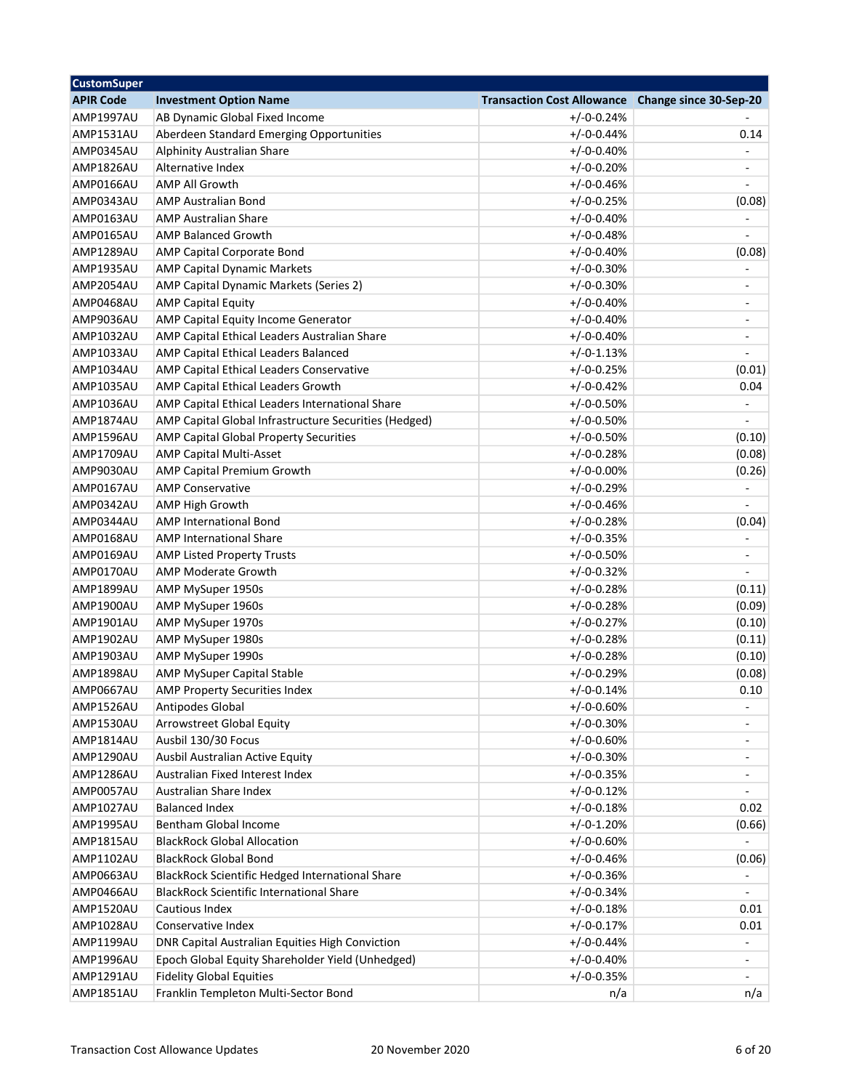| <b>CustomSuper</b> |                                                       |                                                   |                                    |
|--------------------|-------------------------------------------------------|---------------------------------------------------|------------------------------------|
| <b>APIR Code</b>   | <b>Investment Option Name</b>                         | Transaction Cost Allowance Change since 30-Sep-20 |                                    |
| AMP1997AU          | AB Dynamic Global Fixed Income                        | $+/-0-0.24%$                                      |                                    |
| AMP1531AU          | Aberdeen Standard Emerging Opportunities              | $+/-0-0.44%$                                      | 0.14                               |
| AMP0345AU          | Alphinity Australian Share                            | $+/-0-0.40%$                                      |                                    |
| AMP1826AU          | Alternative Index                                     | $+/-0-0.20%$                                      | $\overline{\phantom{a}}$           |
| AMP0166AU          | <b>AMP All Growth</b>                                 | $+/-0-0.46%$                                      |                                    |
| AMP0343AU          | <b>AMP Australian Bond</b>                            | $+/-0-0.25%$                                      | (0.08)                             |
| AMP0163AU          | <b>AMP Australian Share</b>                           | $+/-0-0.40%$                                      |                                    |
| AMP0165AU          | <b>AMP Balanced Growth</b>                            | $+/-0-0.48%$                                      |                                    |
| AMP1289AU          | AMP Capital Corporate Bond                            | $+/-0-0.40%$                                      | (0.08)                             |
| AMP1935AU          | <b>AMP Capital Dynamic Markets</b>                    | $+/-0-0.30%$                                      |                                    |
| AMP2054AU          | AMP Capital Dynamic Markets (Series 2)                | $+/-0-0.30%$                                      | $\overline{\phantom{0}}$           |
| AMP0468AU          | <b>AMP Capital Equity</b>                             | $+/-0-0.40%$                                      | ÷,                                 |
| AMP9036AU          | AMP Capital Equity Income Generator                   | $+/-0-0.40%$                                      | $\blacksquare$                     |
| AMP1032AU          | AMP Capital Ethical Leaders Australian Share          | $+/-0-0.40%$                                      | $\overline{\phantom{a}}$           |
| AMP1033AU          | AMP Capital Ethical Leaders Balanced                  | $+/-0-1.13%$                                      |                                    |
| AMP1034AU          | AMP Capital Ethical Leaders Conservative              | $+/-0-0.25%$                                      | (0.01)                             |
| AMP1035AU          | AMP Capital Ethical Leaders Growth                    | $+/-0-0.42%$                                      | 0.04                               |
| AMP1036AU          | AMP Capital Ethical Leaders International Share       | $+/-0-0.50%$                                      | $\qquad \qquad \blacksquare$       |
| AMP1874AU          | AMP Capital Global Infrastructure Securities (Hedged) | $+/-0-0.50%$                                      | ÷,                                 |
| AMP1596AU          | AMP Capital Global Property Securities                | $+/-0-0.50%$                                      | (0.10)                             |
| AMP1709AU          | <b>AMP Capital Multi-Asset</b>                        | $+/-0-0.28%$                                      | (0.08)                             |
| AMP9030AU          |                                                       |                                                   |                                    |
|                    | AMP Capital Premium Growth<br><b>AMP Conservative</b> | $+/-0-0.00%$                                      | (0.26)<br>$\overline{\phantom{a}}$ |
| AMP0167AU          |                                                       | $+/-0-0.29%$                                      |                                    |
| AMP0342AU          | AMP High Growth                                       | $+/-0-0.46%$                                      |                                    |
| AMP0344AU          | <b>AMP International Bond</b>                         | $+/-0-0.28%$                                      | (0.04)                             |
| AMP0168AU          | <b>AMP International Share</b>                        | $+/-0-0.35%$                                      |                                    |
| AMP0169AU          | <b>AMP Listed Property Trusts</b>                     | $+/-0-0.50%$                                      | -                                  |
| AMP0170AU          | AMP Moderate Growth                                   | $+/-0-0.32%$                                      | $\overline{a}$                     |
| AMP1899AU          | AMP MySuper 1950s                                     | $+/-0-0.28%$                                      | (0.11)                             |
| AMP1900AU          | AMP MySuper 1960s                                     | $+/-0-0.28%$                                      | (0.09)                             |
| AMP1901AU          | AMP MySuper 1970s                                     | $+/-0-0.27%$                                      | (0.10)                             |
| AMP1902AU          | AMP MySuper 1980s                                     | $+/-0-0.28%$                                      | (0.11)                             |
| AMP1903AU          | AMP MySuper 1990s                                     | $+/-0-0.28%$                                      | (0.10)                             |
| AMP1898AU          | AMP MySuper Capital Stable                            | $+/-0-0.29%$                                      | (0.08)                             |
| AMP0667AU          | AMP Property Securities Index                         | $+/-0-0.14%$                                      | 0.10                               |
| AMP1526AU          | Antipodes Global                                      | $+/-0-0.60%$                                      |                                    |
| AMP1530AU          | <b>Arrowstreet Global Equity</b>                      | $+/-0-0.30%$                                      |                                    |
| AMP1814AU          | Ausbil 130/30 Focus                                   | $+/-0-0.60%$                                      |                                    |
| AMP1290AU          | Ausbil Australian Active Equity                       | $+/-0-0.30%$                                      | $\overline{a}$                     |
| AMP1286AU          | Australian Fixed Interest Index                       | $+/-0-0.35%$                                      | $\overline{\phantom{a}}$           |
| AMP0057AU          | <b>Australian Share Index</b>                         | $+/-0-0.12%$                                      |                                    |
| AMP1027AU          | <b>Balanced Index</b>                                 | $+/-0-0.18%$                                      | 0.02                               |
| AMP1995AU          | Bentham Global Income                                 | $+/-0-1.20%$                                      | (0.66)                             |
| AMP1815AU          | <b>BlackRock Global Allocation</b>                    | $+/-0-0.60%$                                      |                                    |
| AMP1102AU          | <b>BlackRock Global Bond</b>                          | $+/-0-0.46%$                                      | (0.06)                             |
| AMP0663AU          | BlackRock Scientific Hedged International Share       | $+/-0-0.36%$                                      |                                    |
| AMP0466AU          | <b>BlackRock Scientific International Share</b>       | $+/-0-0.34%$                                      |                                    |
| AMP1520AU          | Cautious Index                                        | $+/-0-0.18%$                                      | 0.01                               |
| AMP1028AU          | Conservative Index                                    | $+/-0-0.17%$                                      | 0.01                               |
| AMP1199AU          | DNR Capital Australian Equities High Conviction       | $+/-0-0.44%$                                      | $\qquad \qquad \blacksquare$       |
| AMP1996AU          | Epoch Global Equity Shareholder Yield (Unhedged)      | $+/-0-0.40%$                                      | $\qquad \qquad \blacksquare$       |
| AMP1291AU          | <b>Fidelity Global Equities</b>                       | $+/-0-0.35%$                                      |                                    |
| AMP1851AU          | Franklin Templeton Multi-Sector Bond                  | n/a                                               | n/a                                |
|                    |                                                       |                                                   |                                    |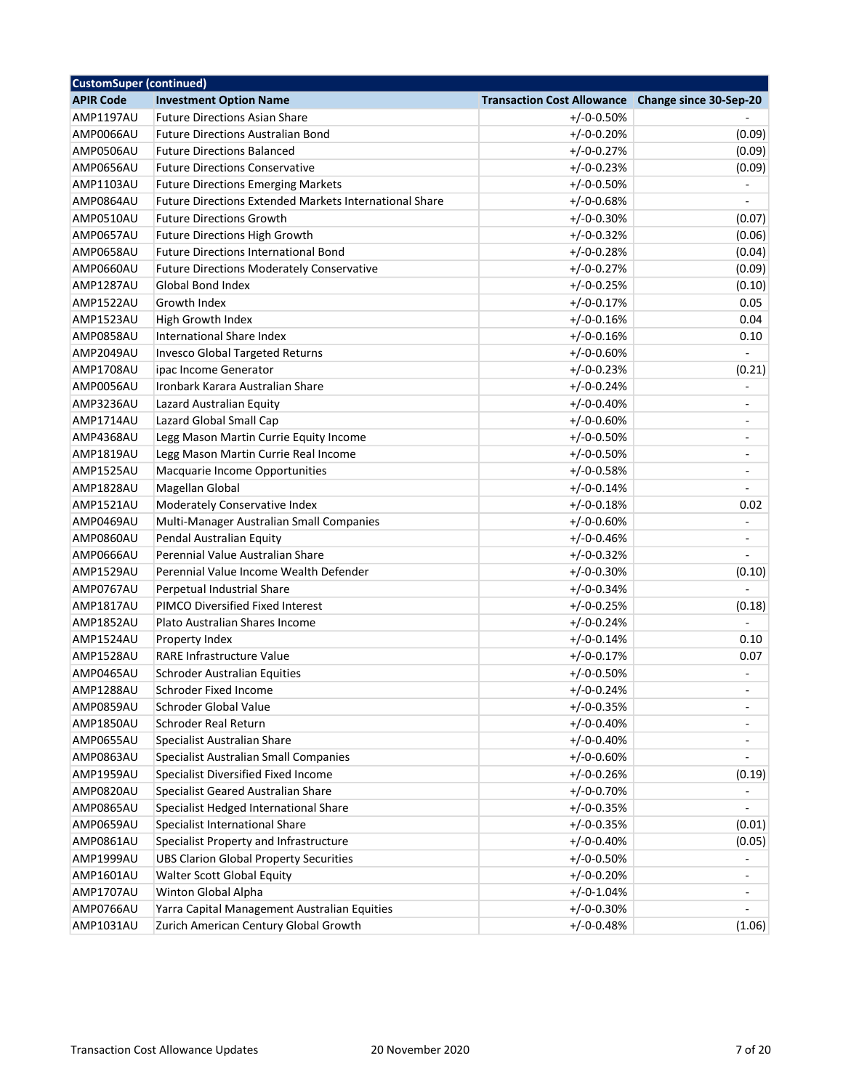| <b>CustomSuper (continued)</b> |                                                                                         |                                                   |                              |
|--------------------------------|-----------------------------------------------------------------------------------------|---------------------------------------------------|------------------------------|
| <b>APIR Code</b>               | <b>Investment Option Name</b>                                                           | Transaction Cost Allowance Change since 30-Sep-20 |                              |
| <b>AMP1197AU</b>               | <b>Future Directions Asian Share</b>                                                    | $+/-0-0.50%$                                      |                              |
| AMP0066AU                      | <b>Future Directions Australian Bond</b>                                                | $+/-0-0.20%$                                      | (0.09)                       |
| AMP0506AU                      | <b>Future Directions Balanced</b>                                                       | $+/-0-0.27%$                                      | (0.09)                       |
| AMP0656AU                      | <b>Future Directions Conservative</b>                                                   | $+/-0-0.23%$                                      | (0.09)                       |
| AMP1103AU                      | <b>Future Directions Emerging Markets</b>                                               | $+/-0-0.50%$                                      |                              |
| AMP0864AU                      | Future Directions Extended Markets International Share                                  | $+/-0-0.68%$                                      |                              |
| AMP0510AU                      | <b>Future Directions Growth</b>                                                         | $+/-0-0.30%$                                      | (0.07)                       |
| AMP0657AU                      | Future Directions High Growth                                                           | $+/-0-0.32%$                                      | (0.06)                       |
| AMP0658AU                      | <b>Future Directions International Bond</b>                                             | $+/-0-0.28%$                                      | (0.04)                       |
| AMP0660AU                      | <b>Future Directions Moderately Conservative</b>                                        | $+/-0-0.27%$                                      | (0.09)                       |
| AMP1287AU                      | <b>Global Bond Index</b>                                                                | $+/-0-0.25%$                                      | (0.10)                       |
| AMP1522AU                      | Growth Index                                                                            | $+/-0-0.17%$                                      | 0.05                         |
| AMP1523AU                      | High Growth Index                                                                       | $+/-0-0.16%$                                      | 0.04                         |
| AMP0858AU                      | International Share Index                                                               | $+/-0-0.16%$                                      | 0.10                         |
| AMP2049AU                      | <b>Invesco Global Targeted Returns</b>                                                  | $+/-0-0.60%$                                      |                              |
| AMP1708AU                      | ipac Income Generator                                                                   | $+/-0-0.23%$                                      | (0.21)                       |
| AMP0056AU                      | Ironbark Karara Australian Share                                                        | $+/-0-0.24%$                                      | $\overline{a}$               |
| AMP3236AU                      | Lazard Australian Equity                                                                | $+/-0-0.40%$                                      | $\qquad \qquad \blacksquare$ |
| AMP1714AU                      | Lazard Global Small Cap                                                                 | $+/-0-0.60%$                                      | $\qquad \qquad \blacksquare$ |
| AMP4368AU                      | Legg Mason Martin Currie Equity Income                                                  | $+/-0-0.50%$                                      | $\overline{\phantom{a}}$     |
| AMP1819AU                      | Legg Mason Martin Currie Real Income                                                    | $+/-0-0.50%$                                      | $\overline{\phantom{a}}$     |
| AMP1525AU                      | Macquarie Income Opportunities                                                          | $+/-0-0.58%$                                      | $\overline{\phantom{0}}$     |
| AMP1828AU                      | Magellan Global                                                                         | $+/-0-0.14%$                                      |                              |
| AMP1521AU                      | Moderately Conservative Index                                                           | $+/-0-0.18%$                                      | 0.02                         |
| AMP0469AU                      | Multi-Manager Australian Small Companies                                                | $+/-0-0.60%$                                      | $\overline{a}$               |
| AMP0860AU                      | Pendal Australian Equity                                                                | $+/-0-0.46%$                                      | $\qquad \qquad \blacksquare$ |
| AMP0666AU                      | Perennial Value Australian Share                                                        | $+/-0-0.32%$                                      |                              |
| AMP1529AU                      | Perennial Value Income Wealth Defender                                                  | $+/-0-0.30%$                                      | (0.10)                       |
| AMP0767AU                      | Perpetual Industrial Share                                                              | $+/-0-0.34%$                                      |                              |
| AMP1817AU                      | PIMCO Diversified Fixed Interest                                                        | $+/-0-0.25%$                                      | (0.18)                       |
| AMP1852AU                      | Plato Australian Shares Income                                                          | $+/-0-0.24%$                                      |                              |
| AMP1524AU                      | Property Index                                                                          | $+/-0-0.14%$                                      | 0.10                         |
| AMP1528AU                      | RARE Infrastructure Value                                                               | $+/-0-0.17%$                                      | 0.07                         |
| AMP0465AU                      | <b>Schroder Australian Equities</b>                                                     | $+/-0-0.50%$                                      |                              |
| AMP1288AU                      | Schroder Fixed Income                                                                   | $+/-0-0.24%$                                      | L.                           |
| AMP0859AU                      | Schroder Global Value                                                                   | $+/-0-0.35%$                                      |                              |
| AMP1850AU                      | Schroder Real Return                                                                    | $+/-0-0.40%$                                      |                              |
| AMP0655AU                      | Specialist Australian Share                                                             | $+/-0-0.40%$                                      |                              |
| AMP0863AU                      | Specialist Australian Small Companies                                                   | $+/-0-0.60%$                                      |                              |
| AMP1959AU                      | Specialist Diversified Fixed Income                                                     | $+/-0-0.26%$                                      | (0.19)                       |
| AMP0820AU                      | Specialist Geared Australian Share                                                      | $+/-0-0.70%$                                      |                              |
| AMP0865AU                      | Specialist Hedged International Share                                                   | $+/-0-0.35%$                                      |                              |
| AMP0659AU                      | Specialist International Share                                                          | $+/-0-0.35%$                                      | (0.01)                       |
|                                |                                                                                         | $+/-0-0.40%$                                      |                              |
| AMP0861AU                      | Specialist Property and Infrastructure<br><b>UBS Clarion Global Property Securities</b> | $+/-0-0.50%$                                      | (0.05)<br>÷,                 |
| AMP1999AU                      | Walter Scott Global Equity                                                              | $+/-0-0.20%$                                      |                              |
| AMP1601AU                      |                                                                                         |                                                   | -                            |
| AMP1707AU                      | Winton Global Alpha                                                                     | $+/-0-1.04%$                                      |                              |
| AMP0766AU                      | Yarra Capital Management Australian Equities                                            | $+/-0-0.30%$                                      |                              |
| AMP1031AU                      | Zurich American Century Global Growth                                                   | $+/-0-0.48%$                                      | (1.06)                       |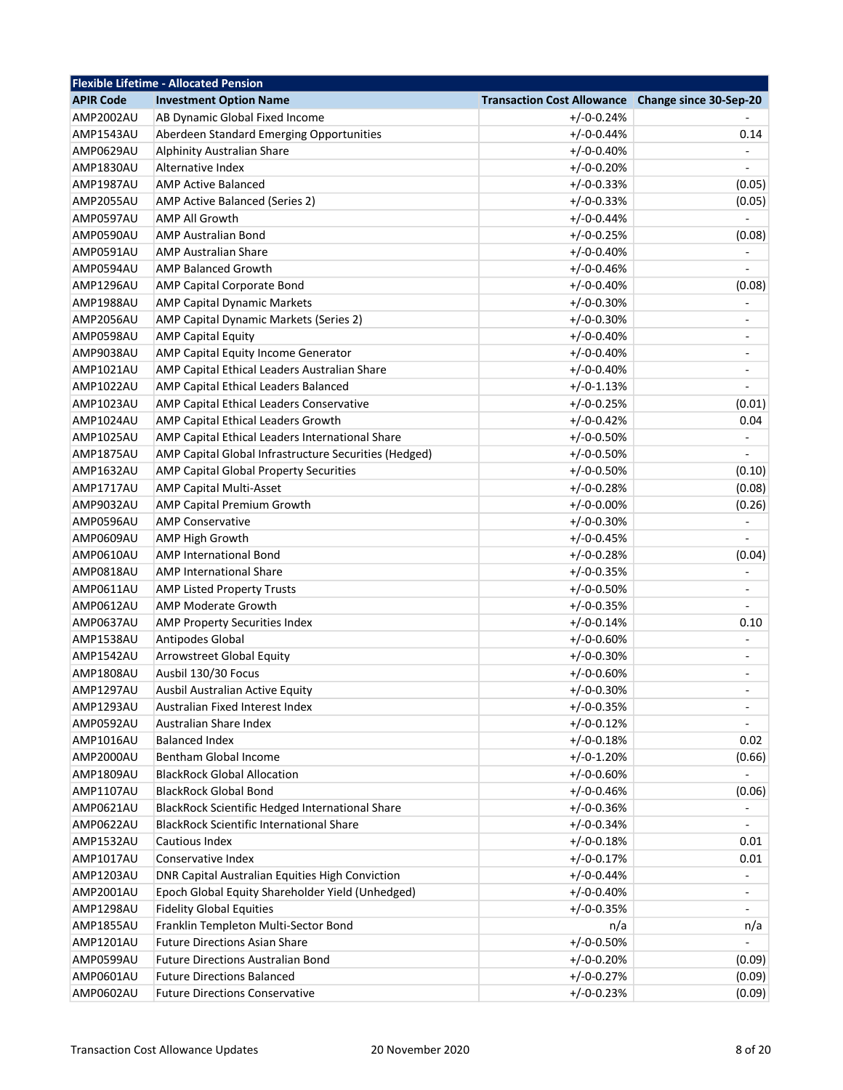|                  | <b>Flexible Lifetime - Allocated Pension</b>          |                                                   |                              |
|------------------|-------------------------------------------------------|---------------------------------------------------|------------------------------|
| <b>APIR Code</b> | <b>Investment Option Name</b>                         | Transaction Cost Allowance Change since 30-Sep-20 |                              |
| AMP2002AU        | AB Dynamic Global Fixed Income                        | $+/-0-0.24%$                                      |                              |
| AMP1543AU        | Aberdeen Standard Emerging Opportunities              | $+/-0-0.44%$                                      | 0.14                         |
| AMP0629AU        | Alphinity Australian Share                            | $+/-0-0.40%$                                      |                              |
| AMP1830AU        | Alternative Index                                     | $+/-0-0.20%$                                      | $\overline{\phantom{a}}$     |
| AMP1987AU        | <b>AMP Active Balanced</b>                            | $+/-0-0.33%$                                      | (0.05)                       |
| AMP2055AU        | AMP Active Balanced (Series 2)                        | $+/-0-0.33%$                                      | (0.05)                       |
| AMP0597AU        | <b>AMP All Growth</b>                                 | $+/-0-0.44%$                                      |                              |
| AMP0590AU        | <b>AMP Australian Bond</b>                            | $+/-0-0.25%$                                      | (0.08)                       |
| AMP0591AU        | <b>AMP Australian Share</b>                           | $+/-0-0.40%$                                      |                              |
| AMP0594AU        | <b>AMP Balanced Growth</b>                            | $+/-0-0.46%$                                      |                              |
| AMP1296AU        | AMP Capital Corporate Bond                            | $+/-0-0.40%$                                      | (0.08)                       |
| AMP1988AU        | <b>AMP Capital Dynamic Markets</b>                    | $+/-0-0.30%$                                      |                              |
| AMP2056AU        | AMP Capital Dynamic Markets (Series 2)                | $+/-0-0.30%$                                      | $\blacksquare$               |
| AMP0598AU        | <b>AMP Capital Equity</b>                             | $+/-0-0.40%$                                      | $\overline{\phantom{a}}$     |
| AMP9038AU        | AMP Capital Equity Income Generator                   | $+/-0-0.40%$                                      | $\qquad \qquad \blacksquare$ |
| AMP1021AU        | AMP Capital Ethical Leaders Australian Share          | $+/-0-0.40%$                                      | -                            |
| <b>AMP1022AU</b> | AMP Capital Ethical Leaders Balanced                  | $+/-0-1.13%$                                      |                              |
| AMP1023AU        | AMP Capital Ethical Leaders Conservative              | $+/-0-0.25%$                                      | (0.01)                       |
| AMP1024AU        | AMP Capital Ethical Leaders Growth                    | $+/-0-0.42%$                                      | 0.04                         |
| <b>AMP1025AU</b> | AMP Capital Ethical Leaders International Share       | $+/-0-0.50%$                                      |                              |
| AMP1875AU        | AMP Capital Global Infrastructure Securities (Hedged) | $+/-0-0.50%$                                      |                              |
| <b>AMP1632AU</b> | AMP Capital Global Property Securities                | $+/-0-0.50%$                                      | (0.10)                       |
| AMP1717AU        | AMP Capital Multi-Asset                               | $+/-0-0.28%$                                      | (0.08)                       |
| AMP9032AU        | AMP Capital Premium Growth                            | $+/-0-0.00%$                                      | (0.26)                       |
| AMP0596AU        | <b>AMP Conservative</b>                               | $+/-0-0.30%$                                      | $\qquad \qquad \blacksquare$ |
| AMP0609AU        | <b>AMP High Growth</b>                                | $+/-0-0.45%$                                      |                              |
| AMP0610AU        | <b>AMP International Bond</b>                         | $+/-0-0.28%$                                      | (0.04)                       |
| AMP0818AU        | <b>AMP International Share</b>                        | $+/-0-0.35%$                                      |                              |
| AMP0611AU        | <b>AMP Listed Property Trusts</b>                     | $+/-0-0.50%$                                      | $\blacksquare$               |
| AMP0612AU        | <b>AMP Moderate Growth</b>                            | $+/-0-0.35%$                                      |                              |
| AMP0637AU        | <b>AMP Property Securities Index</b>                  | $+/-0-0.14%$                                      | 0.10                         |
| AMP1538AU        | Antipodes Global                                      | $+/-0-0.60%$                                      |                              |
| AMP1542AU        | Arrowstreet Global Equity                             | $+/-0-0.30%$                                      | -<br>٠                       |
| <b>AMP1808AU</b> | Ausbil 130/30 Focus                                   | $+/-0-0.60%$                                      | $\blacksquare$               |
| AMP1297AU        | Ausbil Australian Active Equity                       | $+/-0-0.30%$                                      | ٠                            |
|                  | Australian Fixed Interest Index                       |                                                   |                              |
| AMP1293AU        | Australian Share Index                                | $+/-0-0.35%$                                      |                              |
| AMP0592AU        |                                                       | $+/-0-0.12%$                                      |                              |
| AMP1016AU        | <b>Balanced Index</b>                                 | $+/-0-0.18%$                                      | 0.02                         |
| AMP2000AU        | Bentham Global Income                                 | $+/-0-1.20%$                                      | (0.66)                       |
| AMP1809AU        | <b>BlackRock Global Allocation</b>                    | $+/-0-0.60%$                                      |                              |
| AMP1107AU        | <b>BlackRock Global Bond</b>                          | $+/-0-0.46%$                                      | (0.06)                       |
| AMP0621AU        | BlackRock Scientific Hedged International Share       | $+/-0-0.36%$                                      |                              |
| AMP0622AU        | <b>BlackRock Scientific International Share</b>       | $+/-0-0.34%$                                      |                              |
| AMP1532AU        | Cautious Index                                        | $+/-0-0.18%$                                      | 0.01                         |
| AMP1017AU        | Conservative Index                                    | $+/-0-0.17%$                                      | 0.01                         |
| AMP1203AU        | DNR Capital Australian Equities High Conviction       | $+/-0-0.44%$                                      |                              |
| AMP2001AU        | Epoch Global Equity Shareholder Yield (Unhedged)      | $+/-0-0.40%$                                      | $\qquad \qquad \blacksquare$ |
| AMP1298AU        | <b>Fidelity Global Equities</b>                       | $+/-0-0.35%$                                      | $\overline{\phantom{a}}$     |
| AMP1855AU        | Franklin Templeton Multi-Sector Bond                  | n/a                                               | n/a                          |
| AMP1201AU        | <b>Future Directions Asian Share</b>                  | $+/-0-0.50%$                                      |                              |
| AMP0599AU        | <b>Future Directions Australian Bond</b>              | $+/-0-0.20%$                                      | (0.09)                       |
| AMP0601AU        | <b>Future Directions Balanced</b>                     | $+/-0-0.27%$                                      | (0.09)                       |
| AMP0602AU        | <b>Future Directions Conservative</b>                 | $+/-0-0.23%$                                      | (0.09)                       |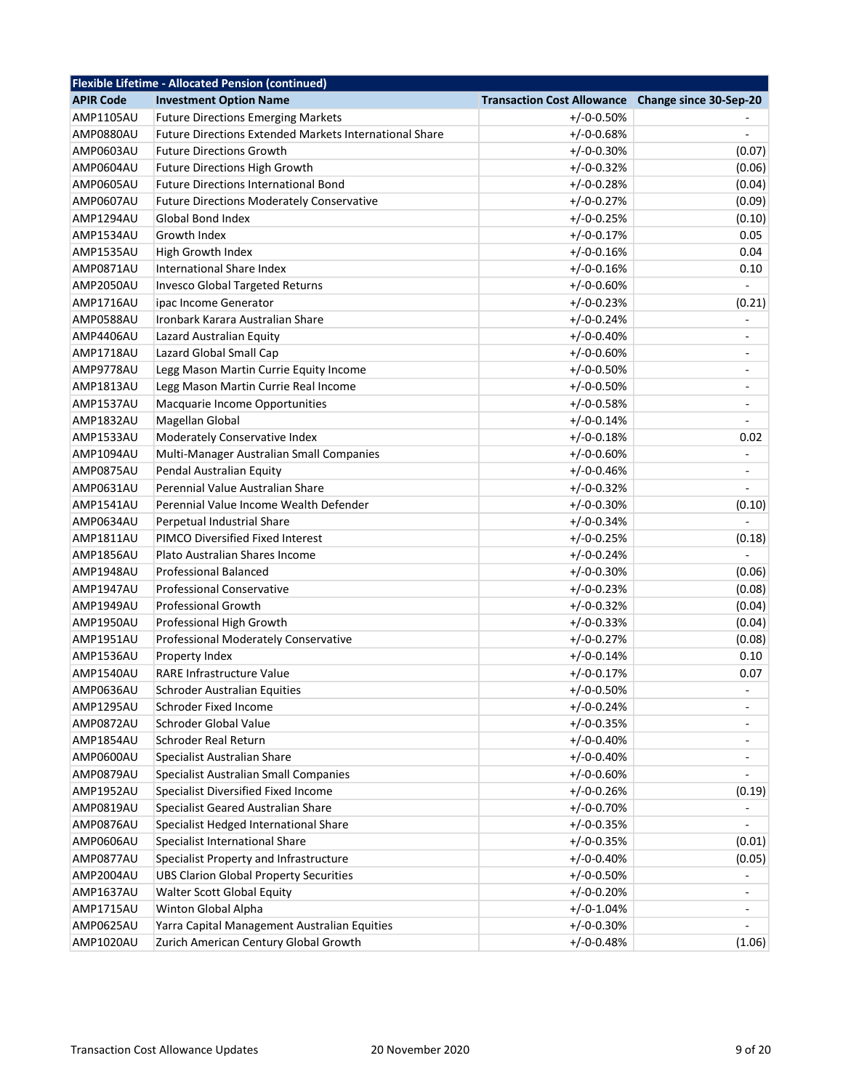| <b>Flexible Lifetime - Allocated Pension (continued)</b> |                                                               |                                   |                              |
|----------------------------------------------------------|---------------------------------------------------------------|-----------------------------------|------------------------------|
| <b>APIR Code</b>                                         | <b>Investment Option Name</b>                                 | <b>Transaction Cost Allowance</b> | Change since 30-Sep-20       |
| <b>AMP1105AU</b>                                         | <b>Future Directions Emerging Markets</b>                     | $+/-0-0.50%$                      |                              |
| AMP0880AU                                                | <b>Future Directions Extended Markets International Share</b> | $+/-0-0.68%$                      | $\overline{\phantom{a}}$     |
| AMP0603AU                                                | <b>Future Directions Growth</b>                               | $+/-0-0.30%$                      | (0.07)                       |
| AMP0604AU                                                | <b>Future Directions High Growth</b>                          | $+/-0-0.32%$                      | (0.06)                       |
| AMP0605AU                                                | Future Directions International Bond                          | $+/-0-0.28%$                      | (0.04)                       |
| <b>AMP0607AU</b>                                         | <b>Future Directions Moderately Conservative</b>              | $+/-0-0.27%$                      | (0.09)                       |
| AMP1294AU                                                | <b>Global Bond Index</b>                                      | $+/-0-0.25%$                      | (0.10)                       |
| AMP1534AU                                                | Growth Index                                                  | $+/-0-0.17%$                      | 0.05                         |
| AMP1535AU                                                | High Growth Index                                             | $+/-0-0.16%$                      | 0.04                         |
| AMP0871AU                                                | International Share Index                                     | $+/-0-0.16%$                      | 0.10                         |
| AMP2050AU                                                | Invesco Global Targeted Returns                               | $+/-0-0.60%$                      |                              |
| AMP1716AU                                                | ipac Income Generator                                         | $+/-0-0.23%$                      | (0.21)                       |
| AMP0588AU                                                | Ironbark Karara Australian Share                              | $+/-0-0.24%$                      | $\blacksquare$               |
| AMP4406AU                                                | Lazard Australian Equity                                      | $+/-0-0.40%$                      | $\blacksquare$               |
| AMP1718AU                                                | Lazard Global Small Cap                                       | $+/-0-0.60%$                      | $\blacksquare$               |
| AMP9778AU                                                | Legg Mason Martin Currie Equity Income                        | $+/-0-0.50%$                      | $\overline{\phantom{a}}$     |
| AMP1813AU                                                | Legg Mason Martin Currie Real Income                          | $+/-0-0.50%$                      | $\overline{\phantom{a}}$     |
| AMP1537AU                                                | Macquarie Income Opportunities                                | $+/-0-0.58%$                      | $\overline{\phantom{a}}$     |
| AMP1832AU                                                | Magellan Global                                               | $+/-0-0.14%$                      |                              |
| AMP1533AU                                                | Moderately Conservative Index                                 | $+/-0-0.18%$                      | 0.02                         |
| AMP1094AU                                                | Multi-Manager Australian Small Companies                      | $+/-0-0.60%$                      | $\blacksquare$               |
| AMP0875AU                                                | Pendal Australian Equity                                      | $+/-0-0.46%$                      | $\qquad \qquad \blacksquare$ |
| AMP0631AU                                                | Perennial Value Australian Share                              | $+/-0-0.32%$                      |                              |
| AMP1541AU                                                | Perennial Value Income Wealth Defender                        | $+/-0-0.30%$                      | (0.10)                       |
| AMP0634AU                                                | Perpetual Industrial Share                                    | $+/-0-0.34%$                      |                              |
| AMP1811AU                                                | PIMCO Diversified Fixed Interest                              | $+/-0-0.25%$                      | (0.18)                       |
| AMP1856AU                                                | Plato Australian Shares Income                                | $+/-0-0.24%$                      |                              |
| AMP1948AU                                                | <b>Professional Balanced</b>                                  | $+/-0-0.30%$                      | (0.06)                       |
| AMP1947AU                                                | <b>Professional Conservative</b>                              | $+/-0-0.23%$                      | (0.08)                       |
| AMP1949AU                                                | <b>Professional Growth</b>                                    | $+/-0-0.32%$                      | (0.04)                       |
| AMP1950AU                                                | Professional High Growth                                      | $+/-0-0.33%$                      | (0.04)                       |
| AMP1951AU                                                | Professional Moderately Conservative                          | $+/-0-0.27%$                      | (0.08)                       |
| AMP1536AU                                                | Property Index                                                | $+/-0-0.14%$                      | 0.10                         |
| AMP1540AU                                                | RARE Infrastructure Value                                     | $+/-0-0.17%$                      | 0.07                         |
| AMP0636AU                                                | <b>Schroder Australian Equities</b>                           | $+/-0-0.50%$                      | $\blacksquare$               |
| AMP1295AU                                                | Schroder Fixed Income                                         | $+/-0-0.24%$                      |                              |
| AMP0872AU                                                | Schroder Global Value                                         | $+/-0-0.35%$                      |                              |
| AMP1854AU                                                | <b>Schroder Real Return</b>                                   | $+/-0-0.40%$                      |                              |
| AMP0600AU                                                | Specialist Australian Share                                   | $+/-0-0.40%$                      | $\overline{\phantom{a}}$     |
| AMP0879AU                                                | Specialist Australian Small Companies                         | $+/-0-0.60%$                      |                              |
| AMP1952AU                                                | Specialist Diversified Fixed Income                           | $+/-0-0.26%$                      | (0.19)                       |
| AMP0819AU                                                | Specialist Geared Australian Share                            | $+/-0-0.70%$                      |                              |
| AMP0876AU                                                | Specialist Hedged International Share                         | $+/-0-0.35%$                      |                              |
| AMP0606AU                                                | Specialist International Share                                | $+/-0-0.35%$                      | (0.01)                       |
| AMP0877AU                                                | Specialist Property and Infrastructure                        | $+/-0-0.40%$                      | (0.05)                       |
| AMP2004AU                                                | <b>UBS Clarion Global Property Securities</b>                 | $+/-0-0.50%$                      |                              |
| AMP1637AU                                                | Walter Scott Global Equity                                    | $+/-0-0.20%$                      | $\overline{\phantom{a}}$     |
| AMP1715AU                                                | Winton Global Alpha                                           | $+/-0-1.04%$                      | ٠                            |
| AMP0625AU                                                | Yarra Capital Management Australian Equities                  | $+/-0-0.30%$                      |                              |
| AMP1020AU                                                | Zurich American Century Global Growth                         | $+/-0-0.48%$                      | (1.06)                       |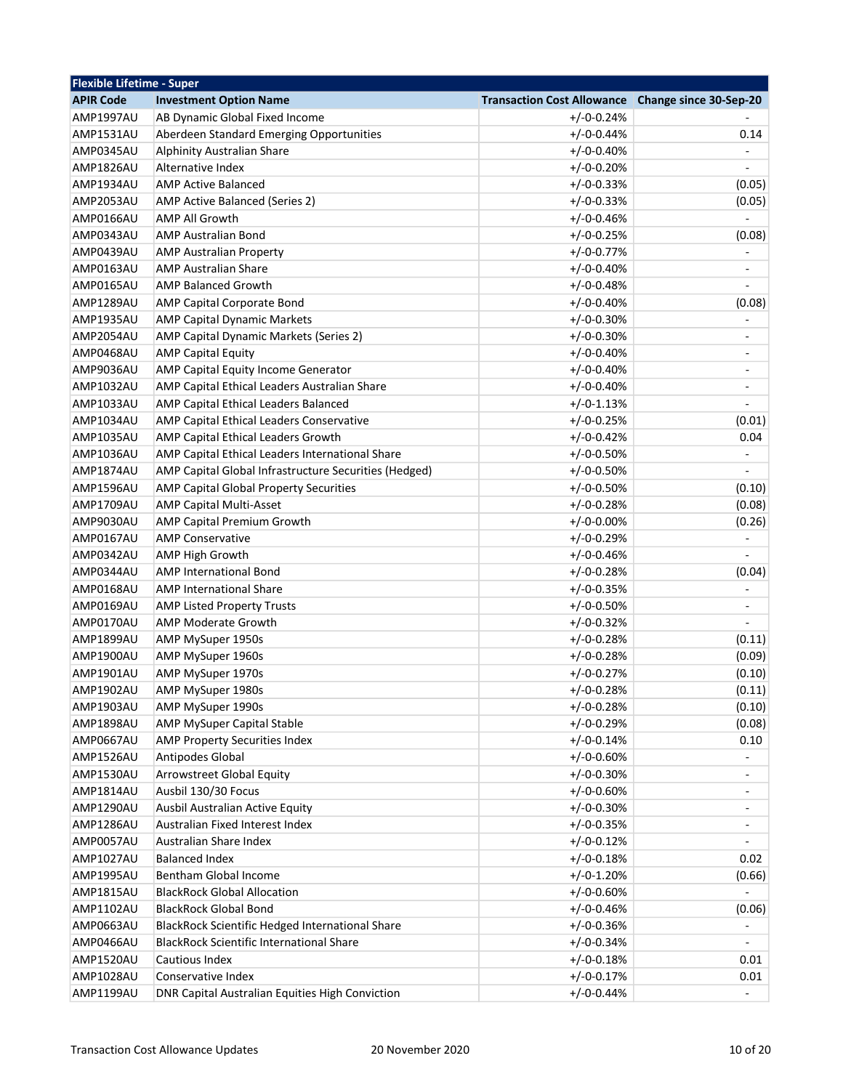| <b>Flexible Lifetime - Super</b> |                                                          |                                                   |                          |
|----------------------------------|----------------------------------------------------------|---------------------------------------------------|--------------------------|
| <b>APIR Code</b>                 | <b>Investment Option Name</b>                            | Transaction Cost Allowance Change since 30-Sep-20 |                          |
| <b>AMP1997AU</b>                 | AB Dynamic Global Fixed Income                           | $+/-0-0.24%$                                      |                          |
| AMP1531AU                        | Aberdeen Standard Emerging Opportunities                 | $+/-0-0.44%$                                      | 0.14                     |
| AMP0345AU                        | Alphinity Australian Share                               | $+/-0-0.40%$                                      |                          |
| AMP1826AU                        | Alternative Index                                        | $+/-0-0.20%$                                      | $\frac{1}{2}$            |
| AMP1934AU                        | <b>AMP Active Balanced</b>                               | $+/-0-0.33%$                                      | (0.05)                   |
| AMP2053AU                        | AMP Active Balanced (Series 2)                           | $+/-0-0.33%$                                      | (0.05)                   |
| AMP0166AU                        | <b>AMP All Growth</b>                                    | $+/-0-0.46%$                                      |                          |
| AMP0343AU                        | <b>AMP Australian Bond</b>                               | $+/-0-0.25%$                                      | (0.08)                   |
| AMP0439AU                        | <b>AMP Australian Property</b>                           | $+/-0-0.77%$                                      |                          |
| AMP0163AU                        | <b>AMP Australian Share</b>                              | $+/-0-0.40%$                                      |                          |
| AMP0165AU                        | <b>AMP Balanced Growth</b>                               | $+/-0-0.48%$                                      |                          |
| AMP1289AU                        | AMP Capital Corporate Bond                               | $+/-0-0.40%$                                      | (0.08)                   |
| AMP1935AU                        | <b>AMP Capital Dynamic Markets</b>                       | $+/-0-0.30%$                                      |                          |
| AMP2054AU                        | AMP Capital Dynamic Markets (Series 2)                   | $+/-0-0.30%$                                      | ÷,                       |
| AMP0468AU                        | <b>AMP Capital Equity</b>                                | $+/-0-0.40%$                                      | ÷                        |
| AMP9036AU                        | AMP Capital Equity Income Generator                      | $+/-0-0.40%$                                      | -                        |
| AMP1032AU                        | AMP Capital Ethical Leaders Australian Share             | $+/-0-0.40%$                                      | $\overline{\phantom{m}}$ |
| AMP1033AU                        | AMP Capital Ethical Leaders Balanced                     | $+/-0-1.13%$                                      |                          |
| AMP1034AU                        | AMP Capital Ethical Leaders Conservative                 | $+/-0-0.25%$                                      | (0.01)                   |
| AMP1035AU                        | AMP Capital Ethical Leaders Growth                       | $+/-0-0.42%$                                      | 0.04                     |
| AMP1036AU                        | AMP Capital Ethical Leaders International Share          | $+/-0-0.50%$                                      | $\blacksquare$           |
| AMP1874AU                        | AMP Capital Global Infrastructure Securities (Hedged)    | $+/-0-0.50%$                                      | $\overline{\phantom{a}}$ |
| AMP1596AU                        | AMP Capital Global Property Securities                   | $+/-0-0.50%$                                      | (0.10)                   |
| AMP1709AU                        | <b>AMP Capital Multi-Asset</b>                           | $+/-0-0.28%$                                      | (0.08)                   |
| AMP9030AU                        | AMP Capital Premium Growth                               | $+/-0-0.00%$                                      | (0.26)                   |
| AMP0167AU                        | <b>AMP Conservative</b>                                  | $+/-0-0.29%$                                      | $\overline{\phantom{m}}$ |
| AMP0342AU                        | AMP High Growth                                          | $+/-0-0.46%$                                      |                          |
| AMP0344AU                        | <b>AMP International Bond</b>                            | $+/-0-0.28%$                                      | (0.04)                   |
| AMP0168AU                        | <b>AMP International Share</b>                           | $+/-0-0.35%$                                      |                          |
| AMP0169AU                        |                                                          | $+/-0-0.50%$                                      | ÷                        |
| AMP0170AU                        | <b>AMP Listed Property Trusts</b><br>AMP Moderate Growth | $+/-0-0.32%$                                      |                          |
| AMP1899AU                        |                                                          |                                                   |                          |
|                                  | AMP MySuper 1950s                                        | $+/-0-0.28%$                                      | (0.11)                   |
| AMP1900AU                        | AMP MySuper 1960s                                        | $+/-0-0.28%$                                      | (0.09)                   |
| AMP1901AU                        | AMP MySuper 1970s                                        | $+/-0-0.27%$                                      | (0.10)                   |
| AMP1902AU                        | AMP MySuper 1980s                                        | $+/-0-0.28%$                                      | (0.11)                   |
| AMP1903AU                        | AMP MySuper 1990s                                        | $+/-0-0.28%$                                      | (0.10)                   |
| AMP1898AU                        | AMP MySuper Capital Stable                               | $+/-0-0.29%$                                      | (0.08)                   |
| AMP0667AU                        | AMP Property Securities Index                            | $+/-0-0.14%$                                      | 0.10                     |
| AMP1526AU                        | Antipodes Global                                         | $+/-0-0.60%$                                      |                          |
| AMP1530AU                        | Arrowstreet Global Equity                                | $+/-0-0.30%$                                      | ÷                        |
| AMP1814AU                        | Ausbil 130/30 Focus                                      | $+/-0-0.60%$                                      | -                        |
| AMP1290AU                        | Ausbil Australian Active Equity                          | $+/-0-0.30%$                                      | -                        |
| AMP1286AU                        | Australian Fixed Interest Index                          | $+/-0-0.35%$                                      | ۰                        |
| AMP0057AU                        | Australian Share Index                                   | $+/-0-0.12%$                                      |                          |
| AMP1027AU                        | <b>Balanced Index</b>                                    | $+/-0-0.18%$                                      | 0.02                     |
| AMP1995AU                        | Bentham Global Income                                    | $+/-0-1.20%$                                      | (0.66)                   |
| AMP1815AU                        | <b>BlackRock Global Allocation</b>                       | $+/-0-0.60%$                                      |                          |
| AMP1102AU                        | <b>BlackRock Global Bond</b>                             | $+/-0-0.46%$                                      | (0.06)                   |
| AMP0663AU                        | BlackRock Scientific Hedged International Share          | $+/-0-0.36%$                                      |                          |
| AMP0466AU                        | <b>BlackRock Scientific International Share</b>          | $+/-0-0.34%$                                      | $\overline{a}$           |
| AMP1520AU                        | Cautious Index                                           | $+/-0-0.18%$                                      | 0.01                     |
| AMP1028AU                        | Conservative Index                                       | $+/-0-0.17%$                                      | 0.01                     |
| AMP1199AU                        | DNR Capital Australian Equities High Conviction          | $+/-0-0.44%$                                      |                          |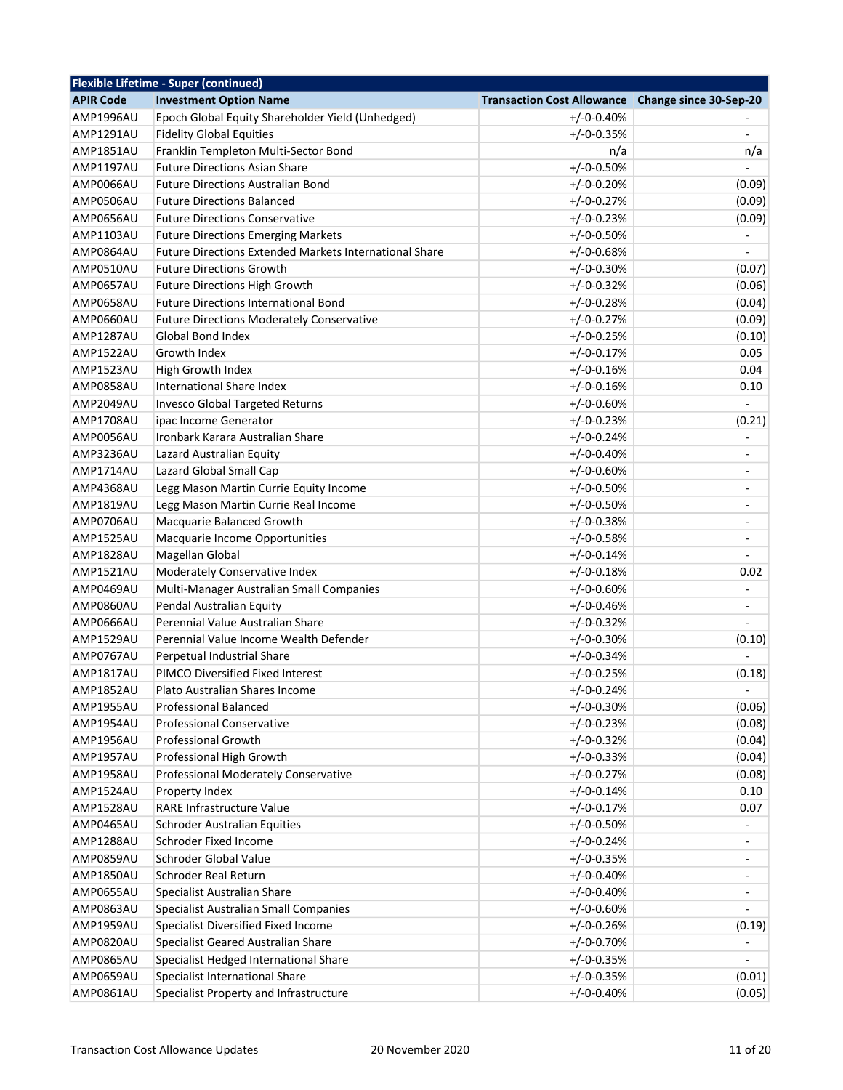|                  | <b>Flexible Lifetime - Super (continued)</b>                 |                                                   |                              |
|------------------|--------------------------------------------------------------|---------------------------------------------------|------------------------------|
| <b>APIR Code</b> | <b>Investment Option Name</b>                                | Transaction Cost Allowance Change since 30-Sep-20 |                              |
| AMP1996AU        | Epoch Global Equity Shareholder Yield (Unhedged)             | $+/-0-0.40%$                                      |                              |
| <b>AMP1291AU</b> | <b>Fidelity Global Equities</b>                              | $+/-0-0.35%$                                      |                              |
| AMP1851AU        | Franklin Templeton Multi-Sector Bond                         | n/a                                               | n/a                          |
| AMP1197AU        | <b>Future Directions Asian Share</b>                         | $+/-0-0.50%$                                      |                              |
| AMP0066AU        | <b>Future Directions Australian Bond</b>                     | $+/-0-0.20%$                                      | (0.09)                       |
| AMP0506AU        | <b>Future Directions Balanced</b>                            | $+/-0-0.27%$                                      | (0.09)                       |
| AMP0656AU        | <b>Future Directions Conservative</b>                        | $+/-0-0.23%$                                      | (0.09)                       |
| <b>AMP1103AU</b> | <b>Future Directions Emerging Markets</b>                    | $+/-0-0.50%$                                      |                              |
| AMP0864AU        | Future Directions Extended Markets International Share       | $+/-0-0.68%$                                      |                              |
| AMP0510AU        | <b>Future Directions Growth</b>                              | $+/-0-0.30%$                                      | (0.07)                       |
| AMP0657AU        | <b>Future Directions High Growth</b>                         | $+/-0-0.32%$                                      | (0.06)                       |
| AMP0658AU        | <b>Future Directions International Bond</b>                  | $+/-0-0.28%$                                      | (0.04)                       |
| AMP0660AU        | <b>Future Directions Moderately Conservative</b>             | $+/-0-0.27%$                                      | (0.09)                       |
| AMP1287AU        | <b>Global Bond Index</b>                                     | $+/-0-0.25%$                                      | (0.10)                       |
| AMP1522AU        | Growth Index                                                 | $+/-0-0.17%$                                      | 0.05                         |
| <b>AMP1523AU</b> | High Growth Index                                            | $+/-0-0.16%$                                      | 0.04                         |
| AMP0858AU        | International Share Index                                    | $+/-0-0.16%$                                      | 0.10                         |
| AMP2049AU        | <b>Invesco Global Targeted Returns</b>                       | $+/-0-0.60%$                                      |                              |
| AMP1708AU        | ipac Income Generator                                        | $+/-0-0.23%$                                      | (0.21)                       |
| AMP0056AU        | Ironbark Karara Australian Share                             | $+/-0-0.24%$                                      | $\qquad \qquad \blacksquare$ |
| AMP3236AU        | Lazard Australian Equity                                     | $+/-0-0.40%$                                      | $\overline{a}$               |
| AMP1714AU        | Lazard Global Small Cap                                      | $+/-0-0.60%$                                      | $\overline{\phantom{0}}$     |
| AMP4368AU        | Legg Mason Martin Currie Equity Income                       | $+/-0-0.50%$                                      | $\overline{\phantom{a}}$     |
| AMP1819AU        | Legg Mason Martin Currie Real Income                         | $+/-0-0.50%$                                      |                              |
| AMP0706AU        | Macquarie Balanced Growth                                    | $+/-0-0.38%$                                      |                              |
| AMP1525AU        | Macquarie Income Opportunities                               | $+/-0-0.58%$                                      | ÷                            |
| AMP1828AU        | Magellan Global                                              | $+/-0-0.14%$                                      |                              |
| AMP1521AU        | Moderately Conservative Index                                | $+/-0-0.18%$                                      | 0.02                         |
| AMP0469AU        | Multi-Manager Australian Small Companies                     | $+/-0-0.60%$                                      | $\overline{a}$               |
| AMP0860AU        |                                                              |                                                   |                              |
| AMP0666AU        | Pendal Australian Equity<br>Perennial Value Australian Share | $+/-0-0.46%$                                      | ÷                            |
|                  | Perennial Value Income Wealth Defender                       | $+/-0-0.32%$                                      |                              |
| AMP1529AU        |                                                              | $+/-0-0.30%$                                      | (0.10)                       |
| AMP0767AU        | Perpetual Industrial Share                                   | $+/-0-0.34%$                                      |                              |
| AMP1817AU        | PIMCO Diversified Fixed Interest                             | $+/-0-0.25%$                                      | (0.18)                       |
| <b>AMP1852AU</b> | Plato Australian Shares Income                               | $+/-0-0.24%$                                      | $\overline{a}$               |
| AMP1955AU        | Professional Balanced                                        | $+/-0-0.30%$                                      | (0.06)                       |
| AMP1954AU        | <b>Professional Conservative</b>                             | $+/-0-0.23%$                                      | (0.08)                       |
| AMP1956AU        | <b>Professional Growth</b>                                   | $+/-0-0.32%$                                      | (0.04)                       |
| AMP1957AU        | Professional High Growth                                     | $+/-0-0.33%$                                      | (0.04)                       |
| AMP1958AU        | Professional Moderately Conservative                         | $+/-0-0.27%$                                      | (0.08)                       |
| AMP1524AU        | Property Index                                               | $+/-0-0.14%$                                      | 0.10                         |
| AMP1528AU        | RARE Infrastructure Value                                    | $+/-0-0.17%$                                      | 0.07                         |
| AMP0465AU        | <b>Schroder Australian Equities</b>                          | $+/-0-0.50%$                                      |                              |
| AMP1288AU        | Schroder Fixed Income                                        | $+/-0-0.24%$                                      | ÷                            |
| AMP0859AU        | Schroder Global Value                                        | $+/-0-0.35%$                                      |                              |
| AMP1850AU        | <b>Schroder Real Return</b>                                  | $+/-0-0.40%$                                      |                              |
| AMP0655AU        | Specialist Australian Share                                  | $+/-0-0.40%$                                      |                              |
| AMP0863AU        | Specialist Australian Small Companies                        | $+/-0-0.60%$                                      |                              |
| AMP1959AU        | Specialist Diversified Fixed Income                          | $+/-0-0.26%$                                      | (0.19)                       |
| AMP0820AU        | Specialist Geared Australian Share                           | $+/-0-0.70%$                                      |                              |
| AMP0865AU        | Specialist Hedged International Share                        | $+/-0-0.35%$                                      |                              |
| AMP0659AU        | Specialist International Share                               | $+/-0-0.35%$                                      | (0.01)                       |
| AMP0861AU        | Specialist Property and Infrastructure                       | $+/-0-0.40%$                                      | (0.05)                       |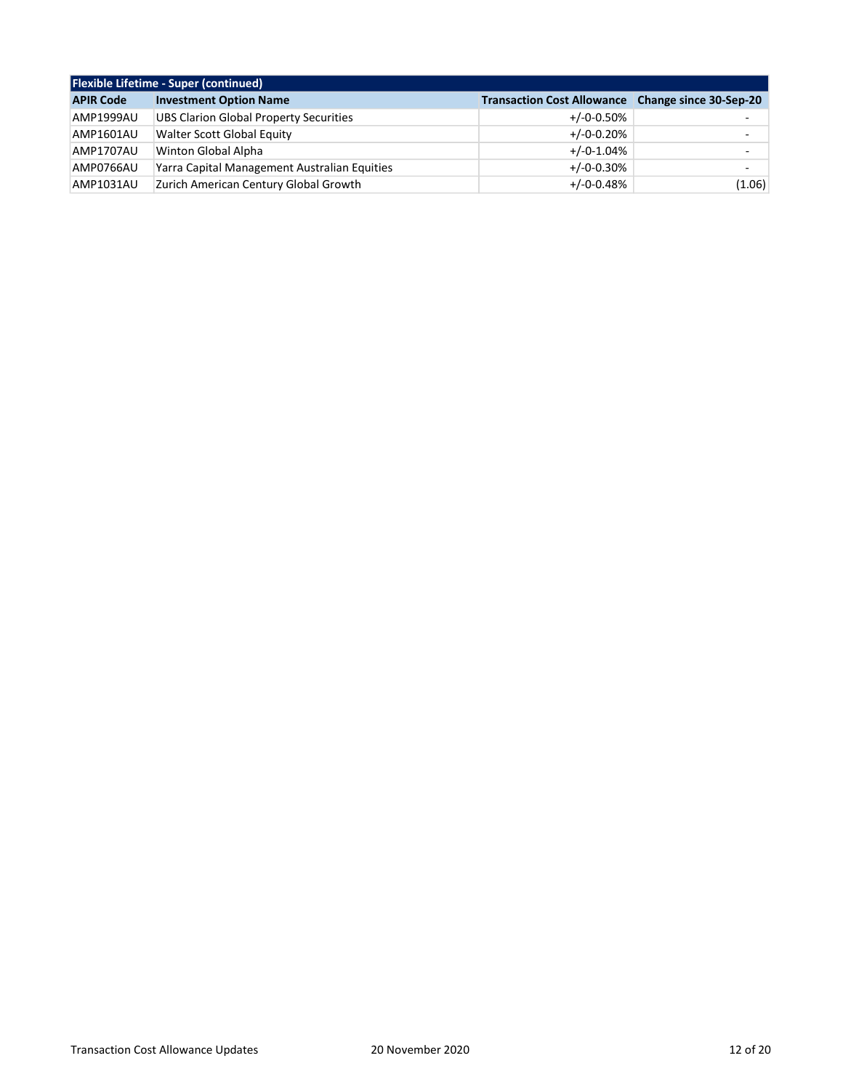| <b>Flexible Lifetime - Super (continued)</b> |                                               |                                                          |                          |
|----------------------------------------------|-----------------------------------------------|----------------------------------------------------------|--------------------------|
| <b>APIR Code</b>                             | <b>Investment Option Name</b>                 | <b>Transaction Cost Allowance</b> Change since 30-Sep-20 |                          |
| AMP1999AU                                    | <b>UBS Clarion Global Property Securities</b> | $+/-0-0.50\%$                                            | ۰                        |
| AMP1601AU                                    | Walter Scott Global Equity                    | $+/-0-0.20%$                                             | $\overline{\phantom{0}}$ |
| AMP1707AU                                    | Winton Global Alpha                           | $+/-0-1.04%$                                             | $\overline{\phantom{0}}$ |
| AMP0766AU                                    | Yarra Capital Management Australian Equities  | $+/-0-0.30%$                                             |                          |
| AMP1031AU                                    | Zurich American Century Global Growth         | $+/-0-0.48%$                                             | (1.06)                   |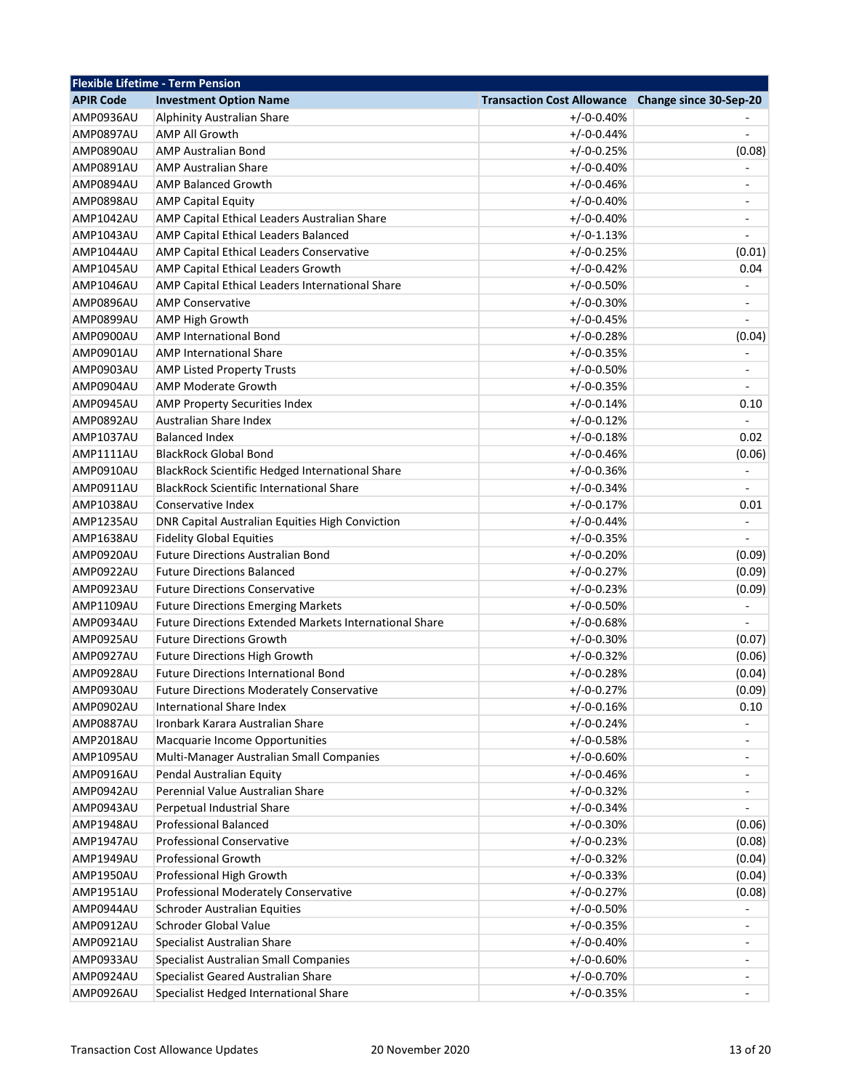| <b>Flexible Lifetime - Term Pension</b> |                                                                                     |                                                   |                  |
|-----------------------------------------|-------------------------------------------------------------------------------------|---------------------------------------------------|------------------|
| <b>APIR Code</b>                        | <b>Investment Option Name</b>                                                       | Transaction Cost Allowance Change since 30-Sep-20 |                  |
| AMP0936AU                               | Alphinity Australian Share                                                          | $+/-0-0.40%$                                      |                  |
| AMP0897AU                               | <b>AMP All Growth</b>                                                               | $+/-0-0.44%$                                      |                  |
| AMP0890AU                               | <b>AMP Australian Bond</b>                                                          | $+/-0-0.25%$                                      | (0.08)           |
| AMP0891AU                               | <b>AMP Australian Share</b>                                                         | $+/-0-0.40%$                                      |                  |
| AMP0894AU                               | <b>AMP Balanced Growth</b>                                                          | $+/-0-0.46%$                                      |                  |
| AMP0898AU                               | <b>AMP Capital Equity</b>                                                           | $+/-0-0.40%$                                      |                  |
| AMP1042AU                               | AMP Capital Ethical Leaders Australian Share                                        | $+/-0-0.40%$                                      | ÷,               |
| AMP1043AU                               | AMP Capital Ethical Leaders Balanced                                                | $+/-0-1.13%$                                      |                  |
| AMP1044AU                               | AMP Capital Ethical Leaders Conservative                                            | $+/-0-0.25%$                                      | (0.01)           |
| <b>AMP1045AU</b>                        | AMP Capital Ethical Leaders Growth                                                  | $+/-0-0.42%$                                      | 0.04             |
| AMP1046AU                               | AMP Capital Ethical Leaders International Share                                     | $+/-0-0.50%$                                      |                  |
| AMP0896AU                               | <b>AMP Conservative</b>                                                             | $+/-0-0.30%$                                      |                  |
| AMP0899AU                               | AMP High Growth                                                                     | $+/-0-0.45%$                                      |                  |
| AMP0900AU                               | <b>AMP International Bond</b>                                                       | $+/-0-0.28%$                                      | (0.04)           |
| AMP0901AU                               | <b>AMP International Share</b>                                                      | $+/-0-0.35%$                                      |                  |
| AMP0903AU                               | <b>AMP Listed Property Trusts</b>                                                   | $+/-0-0.50%$                                      |                  |
| AMP0904AU                               | <b>AMP Moderate Growth</b>                                                          | $+/-0-0.35%$                                      |                  |
| AMP0945AU                               | AMP Property Securities Index                                                       | $+/-0-0.14%$                                      | 0.10             |
| AMP0892AU                               | Australian Share Index                                                              | $+/-0-0.12%$                                      |                  |
| <b>AMP1037AU</b>                        | <b>Balanced Index</b>                                                               | $+/-0-0.18%$                                      | 0.02             |
| AMP1111AU                               | <b>BlackRock Global Bond</b>                                                        | $+/-0-0.46%$                                      | (0.06)           |
| AMP0910AU                               | BlackRock Scientific Hedged International Share                                     | $+/-0-0.36%$                                      | $\frac{1}{2}$    |
| AMP0911AU                               | <b>BlackRock Scientific International Share</b>                                     | $+/-0-0.34%$                                      |                  |
| AMP1038AU                               | Conservative Index                                                                  | $+/-0-0.17%$                                      | 0.01             |
| AMP1235AU                               | DNR Capital Australian Equities High Conviction                                     | $+/-0-0.44%$                                      |                  |
| AMP1638AU                               | <b>Fidelity Global Equities</b>                                                     | $+/-0-0.35%$                                      | $\blacksquare$   |
| AMP0920AU                               | <b>Future Directions Australian Bond</b>                                            | $+/-0-0.20%$                                      | (0.09)           |
| AMP0922AU                               | <b>Future Directions Balanced</b>                                                   | $+/-0-0.27%$                                      | (0.09)           |
| AMP0923AU                               | <b>Future Directions Conservative</b>                                               | $+/-0-0.23%$                                      | (0.09)           |
| AMP1109AU                               | <b>Future Directions Emerging Markets</b>                                           | $+/-0-0.50%$                                      |                  |
| AMP0934AU                               | <b>Future Directions Extended Markets International Share</b>                       | $+/-0-0.68%$                                      |                  |
| AMP0925AU                               | <b>Future Directions Growth</b>                                                     | $+/-0-0.30%$                                      |                  |
|                                         |                                                                                     |                                                   | (0.07)           |
| AMP0927AU<br>AMP0928AU                  | <b>Future Directions High Growth</b><br><b>Future Directions International Bond</b> | $+/-0-0.32%$<br>$+/-0-0.28%$                      | (0.06)<br>(0.04) |
|                                         |                                                                                     |                                                   |                  |
| AMP0930AU                               | <b>Future Directions Moderately Conservative</b><br>International Share Index       | $+/-0-0.27%$                                      | (0.09)           |
| AMP0902AU                               |                                                                                     | $+/-0-0.16%$                                      | 0.10             |
| AMP0887AU                               | Ironbark Karara Australian Share                                                    | $+/-0-0.24%$                                      |                  |
| AMP2018AU                               | Macquarie Income Opportunities                                                      | $+/-0-0.58%$                                      |                  |
| AMP1095AU                               | Multi-Manager Australian Small Companies                                            | $+/-0-0.60%$                                      |                  |
| AMP0916AU                               | Pendal Australian Equity                                                            | $+/-0-0.46%$                                      |                  |
| AMP0942AU                               | Perennial Value Australian Share                                                    | $+/-0-0.32%$                                      |                  |
| AMP0943AU                               | Perpetual Industrial Share                                                          | $+/-0-0.34%$                                      |                  |
| AMP1948AU                               | Professional Balanced                                                               | $+/-0-0.30%$                                      | (0.06)           |
| AMP1947AU                               | <b>Professional Conservative</b>                                                    | $+/-0-0.23%$                                      | (0.08)           |
| AMP1949AU                               | Professional Growth                                                                 | $+/-0-0.32%$                                      | (0.04)           |
| AMP1950AU                               | Professional High Growth                                                            | $+/-0-0.33%$                                      | (0.04)           |
| AMP1951AU                               | Professional Moderately Conservative                                                | $+/-0-0.27%$                                      | (0.08)           |
| AMP0944AU                               | <b>Schroder Australian Equities</b>                                                 | $+/-0-0.50%$                                      |                  |
| AMP0912AU                               | Schroder Global Value                                                               | $+/-0-0.35%$                                      |                  |
| AMP0921AU                               | Specialist Australian Share                                                         | $+/-0-0.40%$                                      |                  |
| AMP0933AU                               | Specialist Australian Small Companies                                               | $+/-0-0.60%$                                      |                  |
| AMP0924AU                               | Specialist Geared Australian Share                                                  | $+/-0-0.70%$                                      |                  |
| AMP0926AU                               | Specialist Hedged International Share                                               | $+/-0-0.35%$                                      |                  |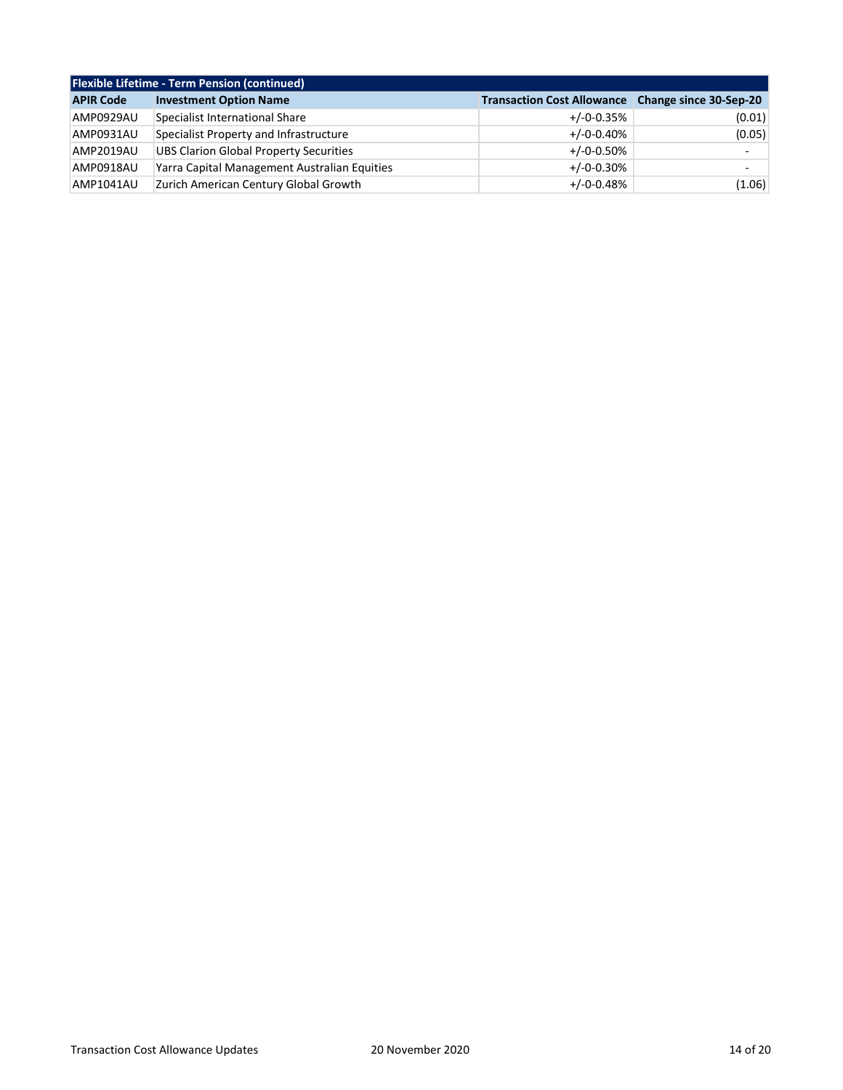| <b>Flexible Lifetime - Term Pension (continued)</b> |                                              |                                                          |                          |
|-----------------------------------------------------|----------------------------------------------|----------------------------------------------------------|--------------------------|
| <b>APIR Code</b>                                    | <b>Investment Option Name</b>                | <b>Transaction Cost Allowance</b> Change since 30-Sep-20 |                          |
| AMP0929AU                                           | Specialist International Share               | $+/-0-0.35%$                                             | (0.01)                   |
| AMP0931AU                                           | Specialist Property and Infrastructure       | $+/-0-0.40%$                                             | (0.05)                   |
| AMP2019AU                                           | UBS Clarion Global Property Securities       | $+/-0-0.50%$                                             | $\overline{\phantom{0}}$ |
| AMP0918AU                                           | Yarra Capital Management Australian Equities | $+/-0-0.30%$                                             |                          |
| AMP1041AU                                           | Zurich American Century Global Growth        | $+/-0-0.48%$                                             | (1.06)                   |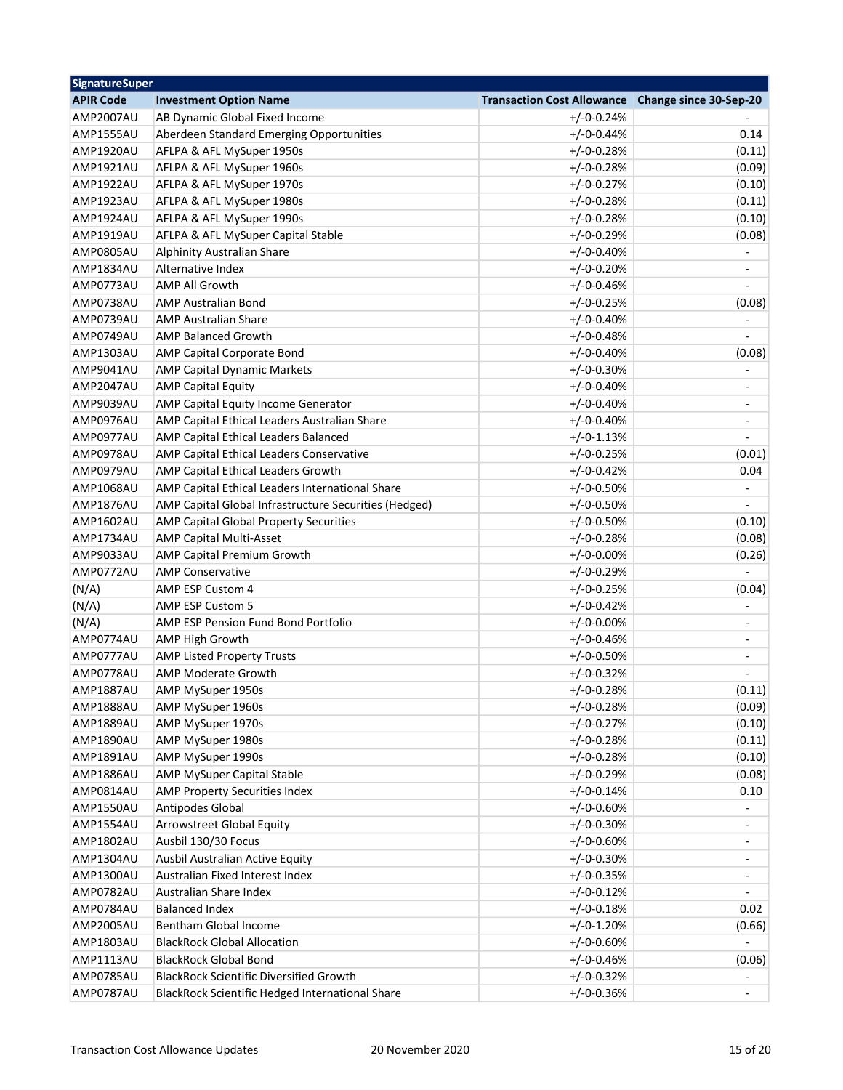| <b>Investment Option Name</b><br><b>Transaction Cost Allowance</b><br>Change since 30-Sep-20<br><b>AMP2007AU</b><br>AB Dynamic Global Fixed Income<br>$+/-0-0.24%$<br>$+/-0-0.44%$<br>AMP1555AU<br>Aberdeen Standard Emerging Opportunities<br>0.14<br>AMP1920AU<br>AFLPA & AFL MySuper 1950s<br>$+/-0-0.28%$<br>(0.11)<br>AFLPA & AFL MySuper 1960s<br>$+/-0-0.28%$<br>(0.09)<br>AMP1921AU<br>$+/-0-0.27%$<br>AMP1922AU<br>AFLPA & AFL MySuper 1970s<br>(0.10)<br>AMP1923AU<br>AFLPA & AFL MySuper 1980s<br>$+/-0-0.28%$<br>(0.11)<br>AMP1924AU<br>AFLPA & AFL MySuper 1990s<br>$+/-0-0.28%$<br>(0.10)<br>AFLPA & AFL MySuper Capital Stable<br>$+/-0-0.29%$<br>AMP1919AU<br>(0.08)<br>$+/-0-0.40%$<br>AMP0805AU<br><b>Alphinity Australian Share</b><br>$+/-0-0.20%$<br>AMP1834AU<br>Alternative Index<br><b>AMP All Growth</b><br>$+/-0-0.46%$<br>AMP0773AU<br>AMP0738AU<br><b>AMP Australian Bond</b><br>$+/-0-0.25%$<br>(0.08)<br>AMP0739AU<br><b>AMP Australian Share</b><br>$+/-0-0.40%$<br><b>AMP Balanced Growth</b><br>$+/-0-0.48%$<br>AMP0749AU<br>$+/-0-0.40%$<br><b>AMP1303AU</b><br>AMP Capital Corporate Bond<br>(0.08)<br><b>AMP Capital Dynamic Markets</b><br>$+/-0-0.30%$<br>AMP9041AU<br>٠<br>$+/-0-0.40%$<br>AMP2047AU<br><b>AMP Capital Equity</b><br>$\qquad \qquad \blacksquare$<br>AMP9039AU<br>AMP Capital Equity Income Generator<br>$+/-0-0.40%$<br>$\qquad \qquad \blacksquare$<br>AMP0976AU<br>AMP Capital Ethical Leaders Australian Share<br>$+/-0-0.40%$<br>$\overline{\phantom{a}}$<br>AMP0977AU<br>AMP Capital Ethical Leaders Balanced<br>$+/-0-1.13%$<br>AMP0978AU<br>AMP Capital Ethical Leaders Conservative<br>$+/-0-0.25%$<br>(0.01)<br>AMP0979AU<br>AMP Capital Ethical Leaders Growth<br>$+/-0-0.42%$<br>0.04<br>AMP Capital Ethical Leaders International Share<br>$+/-0-0.50%$<br>AMP1068AU<br>$\overline{\phantom{a}}$<br>AMP1876AU<br>AMP Capital Global Infrastructure Securities (Hedged)<br>$+/-0-0.50%$<br>÷,<br>$+/-0-0.50%$<br><b>AMP1602AU</b><br>AMP Capital Global Property Securities<br>(0.10)<br>AMP1734AU<br><b>AMP Capital Multi-Asset</b><br>$+/-0-0.28%$<br>(0.08)<br>AMP9033AU<br>$+/-0-0.00%$<br>(0.26)<br><b>AMP Capital Premium Growth</b><br>AMP0772AU<br>$+/-0-0.29%$<br><b>AMP Conservative</b><br>(N/A)<br>$+/-0-0.25%$<br>(0.04)<br>AMP ESP Custom 4<br>(N/A)<br><b>AMP ESP Custom 5</b><br>$+/-0-0.42%$<br>(N/A)<br>AMP ESP Pension Fund Bond Portfolio<br>$+/-0-0.00%$<br>-<br>AMP0774AU<br><b>AMP High Growth</b><br>$+/-0-0.46%$<br>$\qquad \qquad \blacksquare$<br>AMP0777AU<br><b>AMP Listed Property Trusts</b><br>$+/-0-0.50%$<br>$\overline{\phantom{a}}$<br>AMP Moderate Growth<br>$+/-0-0.32%$<br>AMP0778AU<br>$+/-0-0.28%$<br>(0.11)<br>AMP1887AU<br>AMP MySuper 1950s<br>AMP1888AU<br>AMP MySuper 1960s<br>$+/-0-0.28%$<br>(0.09)<br>AMP1889AU<br>AMP MySuper 1970s<br>$+/-0-0.27%$<br>(0.10)<br>AMP1890AU<br>AMP MySuper 1980s<br>$+/-0-0.28%$<br>(0.11)<br>AMP MySuper 1990s<br>$+/-0-0.28%$<br>AMP1891AU<br>(0.10)<br>AMP MySuper Capital Stable<br>$+/-0-0.29%$<br>AMP1886AU<br>(0.08)<br>AMP Property Securities Index<br>$+/-0-0.14%$<br>AMP0814AU<br>0.10<br>Antipodes Global<br>$+/-0-0.60%$<br>AMP1550AU<br><b>Arrowstreet Global Equity</b><br>$+/-0-0.30%$<br>AMP1554AU<br>Ausbil 130/30 Focus<br>AMP1802AU<br>$+/-0-0.60%$<br>$\overline{\phantom{a}}$<br>AMP1304AU<br>Ausbil Australian Active Equity<br>$+/-0-0.30%$<br>$\overline{\phantom{0}}$<br>AMP1300AU<br>Australian Fixed Interest Index<br>$+/-0-0.35%$<br>AMP0782AU<br>Australian Share Index<br>$+/-0-0.12%$<br><b>Balanced Index</b><br>$+/-0-0.18%$<br>AMP0784AU<br>0.02<br>AMP2005AU<br>Bentham Global Income<br>$+/-0-1.20%$<br>(0.66)<br>$+/-0-0.60%$<br>AMP1803AU<br><b>BlackRock Global Allocation</b><br>AMP1113AU<br><b>BlackRock Global Bond</b><br>$+/-0-0.46%$<br>(0.06)<br><b>BlackRock Scientific Diversified Growth</b><br>AMP0785AU<br>$+/-0-0.32%$<br>BlackRock Scientific Hedged International Share<br>$+/-0-0.36%$<br>AMP0787AU<br>$\blacksquare$ | <b>SignatureSuper</b> |  |  |  |
|-------------------------------------------------------------------------------------------------------------------------------------------------------------------------------------------------------------------------------------------------------------------------------------------------------------------------------------------------------------------------------------------------------------------------------------------------------------------------------------------------------------------------------------------------------------------------------------------------------------------------------------------------------------------------------------------------------------------------------------------------------------------------------------------------------------------------------------------------------------------------------------------------------------------------------------------------------------------------------------------------------------------------------------------------------------------------------------------------------------------------------------------------------------------------------------------------------------------------------------------------------------------------------------------------------------------------------------------------------------------------------------------------------------------------------------------------------------------------------------------------------------------------------------------------------------------------------------------------------------------------------------------------------------------------------------------------------------------------------------------------------------------------------------------------------------------------------------------------------------------------------------------------------------------------------------------------------------------------------------------------------------------------------------------------------------------------------------------------------------------------------------------------------------------------------------------------------------------------------------------------------------------------------------------------------------------------------------------------------------------------------------------------------------------------------------------------------------------------------------------------------------------------------------------------------------------------------------------------------------------------------------------------------------------------------------------------------------------------------------------------------------------------------------------------------------------------------------------------------------------------------------------------------------------------------------------------------------------------------------------------------------------------------------------------------------------------------------------------------------------------------------------------------------------------------------------------------------------------------------------------------------------------------------------------------------------------------------------------------------------------------------------------------------------------------------------------------------------------------------------------------------------------------------------------------------------------------------------------------------------------------------------------------------------------------------------------------------------------------------------------------------------------------------------------------------------------------------------------------------------------------------------------------------------------------------------------------------------------------------------------------------------------------------|-----------------------|--|--|--|
|                                                                                                                                                                                                                                                                                                                                                                                                                                                                                                                                                                                                                                                                                                                                                                                                                                                                                                                                                                                                                                                                                                                                                                                                                                                                                                                                                                                                                                                                                                                                                                                                                                                                                                                                                                                                                                                                                                                                                                                                                                                                                                                                                                                                                                                                                                                                                                                                                                                                                                                                                                                                                                                                                                                                                                                                                                                                                                                                                                                                                                                                                                                                                                                                                                                                                                                                                                                                                                                                                                                                                                                                                                                                                                                                                                                                                                                                                                                                                                                                                                     | <b>APIR Code</b>      |  |  |  |
|                                                                                                                                                                                                                                                                                                                                                                                                                                                                                                                                                                                                                                                                                                                                                                                                                                                                                                                                                                                                                                                                                                                                                                                                                                                                                                                                                                                                                                                                                                                                                                                                                                                                                                                                                                                                                                                                                                                                                                                                                                                                                                                                                                                                                                                                                                                                                                                                                                                                                                                                                                                                                                                                                                                                                                                                                                                                                                                                                                                                                                                                                                                                                                                                                                                                                                                                                                                                                                                                                                                                                                                                                                                                                                                                                                                                                                                                                                                                                                                                                                     |                       |  |  |  |
|                                                                                                                                                                                                                                                                                                                                                                                                                                                                                                                                                                                                                                                                                                                                                                                                                                                                                                                                                                                                                                                                                                                                                                                                                                                                                                                                                                                                                                                                                                                                                                                                                                                                                                                                                                                                                                                                                                                                                                                                                                                                                                                                                                                                                                                                                                                                                                                                                                                                                                                                                                                                                                                                                                                                                                                                                                                                                                                                                                                                                                                                                                                                                                                                                                                                                                                                                                                                                                                                                                                                                                                                                                                                                                                                                                                                                                                                                                                                                                                                                                     |                       |  |  |  |
|                                                                                                                                                                                                                                                                                                                                                                                                                                                                                                                                                                                                                                                                                                                                                                                                                                                                                                                                                                                                                                                                                                                                                                                                                                                                                                                                                                                                                                                                                                                                                                                                                                                                                                                                                                                                                                                                                                                                                                                                                                                                                                                                                                                                                                                                                                                                                                                                                                                                                                                                                                                                                                                                                                                                                                                                                                                                                                                                                                                                                                                                                                                                                                                                                                                                                                                                                                                                                                                                                                                                                                                                                                                                                                                                                                                                                                                                                                                                                                                                                                     |                       |  |  |  |
|                                                                                                                                                                                                                                                                                                                                                                                                                                                                                                                                                                                                                                                                                                                                                                                                                                                                                                                                                                                                                                                                                                                                                                                                                                                                                                                                                                                                                                                                                                                                                                                                                                                                                                                                                                                                                                                                                                                                                                                                                                                                                                                                                                                                                                                                                                                                                                                                                                                                                                                                                                                                                                                                                                                                                                                                                                                                                                                                                                                                                                                                                                                                                                                                                                                                                                                                                                                                                                                                                                                                                                                                                                                                                                                                                                                                                                                                                                                                                                                                                                     |                       |  |  |  |
|                                                                                                                                                                                                                                                                                                                                                                                                                                                                                                                                                                                                                                                                                                                                                                                                                                                                                                                                                                                                                                                                                                                                                                                                                                                                                                                                                                                                                                                                                                                                                                                                                                                                                                                                                                                                                                                                                                                                                                                                                                                                                                                                                                                                                                                                                                                                                                                                                                                                                                                                                                                                                                                                                                                                                                                                                                                                                                                                                                                                                                                                                                                                                                                                                                                                                                                                                                                                                                                                                                                                                                                                                                                                                                                                                                                                                                                                                                                                                                                                                                     |                       |  |  |  |
|                                                                                                                                                                                                                                                                                                                                                                                                                                                                                                                                                                                                                                                                                                                                                                                                                                                                                                                                                                                                                                                                                                                                                                                                                                                                                                                                                                                                                                                                                                                                                                                                                                                                                                                                                                                                                                                                                                                                                                                                                                                                                                                                                                                                                                                                                                                                                                                                                                                                                                                                                                                                                                                                                                                                                                                                                                                                                                                                                                                                                                                                                                                                                                                                                                                                                                                                                                                                                                                                                                                                                                                                                                                                                                                                                                                                                                                                                                                                                                                                                                     |                       |  |  |  |
|                                                                                                                                                                                                                                                                                                                                                                                                                                                                                                                                                                                                                                                                                                                                                                                                                                                                                                                                                                                                                                                                                                                                                                                                                                                                                                                                                                                                                                                                                                                                                                                                                                                                                                                                                                                                                                                                                                                                                                                                                                                                                                                                                                                                                                                                                                                                                                                                                                                                                                                                                                                                                                                                                                                                                                                                                                                                                                                                                                                                                                                                                                                                                                                                                                                                                                                                                                                                                                                                                                                                                                                                                                                                                                                                                                                                                                                                                                                                                                                                                                     |                       |  |  |  |
|                                                                                                                                                                                                                                                                                                                                                                                                                                                                                                                                                                                                                                                                                                                                                                                                                                                                                                                                                                                                                                                                                                                                                                                                                                                                                                                                                                                                                                                                                                                                                                                                                                                                                                                                                                                                                                                                                                                                                                                                                                                                                                                                                                                                                                                                                                                                                                                                                                                                                                                                                                                                                                                                                                                                                                                                                                                                                                                                                                                                                                                                                                                                                                                                                                                                                                                                                                                                                                                                                                                                                                                                                                                                                                                                                                                                                                                                                                                                                                                                                                     |                       |  |  |  |
|                                                                                                                                                                                                                                                                                                                                                                                                                                                                                                                                                                                                                                                                                                                                                                                                                                                                                                                                                                                                                                                                                                                                                                                                                                                                                                                                                                                                                                                                                                                                                                                                                                                                                                                                                                                                                                                                                                                                                                                                                                                                                                                                                                                                                                                                                                                                                                                                                                                                                                                                                                                                                                                                                                                                                                                                                                                                                                                                                                                                                                                                                                                                                                                                                                                                                                                                                                                                                                                                                                                                                                                                                                                                                                                                                                                                                                                                                                                                                                                                                                     |                       |  |  |  |
|                                                                                                                                                                                                                                                                                                                                                                                                                                                                                                                                                                                                                                                                                                                                                                                                                                                                                                                                                                                                                                                                                                                                                                                                                                                                                                                                                                                                                                                                                                                                                                                                                                                                                                                                                                                                                                                                                                                                                                                                                                                                                                                                                                                                                                                                                                                                                                                                                                                                                                                                                                                                                                                                                                                                                                                                                                                                                                                                                                                                                                                                                                                                                                                                                                                                                                                                                                                                                                                                                                                                                                                                                                                                                                                                                                                                                                                                                                                                                                                                                                     |                       |  |  |  |
|                                                                                                                                                                                                                                                                                                                                                                                                                                                                                                                                                                                                                                                                                                                                                                                                                                                                                                                                                                                                                                                                                                                                                                                                                                                                                                                                                                                                                                                                                                                                                                                                                                                                                                                                                                                                                                                                                                                                                                                                                                                                                                                                                                                                                                                                                                                                                                                                                                                                                                                                                                                                                                                                                                                                                                                                                                                                                                                                                                                                                                                                                                                                                                                                                                                                                                                                                                                                                                                                                                                                                                                                                                                                                                                                                                                                                                                                                                                                                                                                                                     |                       |  |  |  |
|                                                                                                                                                                                                                                                                                                                                                                                                                                                                                                                                                                                                                                                                                                                                                                                                                                                                                                                                                                                                                                                                                                                                                                                                                                                                                                                                                                                                                                                                                                                                                                                                                                                                                                                                                                                                                                                                                                                                                                                                                                                                                                                                                                                                                                                                                                                                                                                                                                                                                                                                                                                                                                                                                                                                                                                                                                                                                                                                                                                                                                                                                                                                                                                                                                                                                                                                                                                                                                                                                                                                                                                                                                                                                                                                                                                                                                                                                                                                                                                                                                     |                       |  |  |  |
|                                                                                                                                                                                                                                                                                                                                                                                                                                                                                                                                                                                                                                                                                                                                                                                                                                                                                                                                                                                                                                                                                                                                                                                                                                                                                                                                                                                                                                                                                                                                                                                                                                                                                                                                                                                                                                                                                                                                                                                                                                                                                                                                                                                                                                                                                                                                                                                                                                                                                                                                                                                                                                                                                                                                                                                                                                                                                                                                                                                                                                                                                                                                                                                                                                                                                                                                                                                                                                                                                                                                                                                                                                                                                                                                                                                                                                                                                                                                                                                                                                     |                       |  |  |  |
|                                                                                                                                                                                                                                                                                                                                                                                                                                                                                                                                                                                                                                                                                                                                                                                                                                                                                                                                                                                                                                                                                                                                                                                                                                                                                                                                                                                                                                                                                                                                                                                                                                                                                                                                                                                                                                                                                                                                                                                                                                                                                                                                                                                                                                                                                                                                                                                                                                                                                                                                                                                                                                                                                                                                                                                                                                                                                                                                                                                                                                                                                                                                                                                                                                                                                                                                                                                                                                                                                                                                                                                                                                                                                                                                                                                                                                                                                                                                                                                                                                     |                       |  |  |  |
|                                                                                                                                                                                                                                                                                                                                                                                                                                                                                                                                                                                                                                                                                                                                                                                                                                                                                                                                                                                                                                                                                                                                                                                                                                                                                                                                                                                                                                                                                                                                                                                                                                                                                                                                                                                                                                                                                                                                                                                                                                                                                                                                                                                                                                                                                                                                                                                                                                                                                                                                                                                                                                                                                                                                                                                                                                                                                                                                                                                                                                                                                                                                                                                                                                                                                                                                                                                                                                                                                                                                                                                                                                                                                                                                                                                                                                                                                                                                                                                                                                     |                       |  |  |  |
|                                                                                                                                                                                                                                                                                                                                                                                                                                                                                                                                                                                                                                                                                                                                                                                                                                                                                                                                                                                                                                                                                                                                                                                                                                                                                                                                                                                                                                                                                                                                                                                                                                                                                                                                                                                                                                                                                                                                                                                                                                                                                                                                                                                                                                                                                                                                                                                                                                                                                                                                                                                                                                                                                                                                                                                                                                                                                                                                                                                                                                                                                                                                                                                                                                                                                                                                                                                                                                                                                                                                                                                                                                                                                                                                                                                                                                                                                                                                                                                                                                     |                       |  |  |  |
|                                                                                                                                                                                                                                                                                                                                                                                                                                                                                                                                                                                                                                                                                                                                                                                                                                                                                                                                                                                                                                                                                                                                                                                                                                                                                                                                                                                                                                                                                                                                                                                                                                                                                                                                                                                                                                                                                                                                                                                                                                                                                                                                                                                                                                                                                                                                                                                                                                                                                                                                                                                                                                                                                                                                                                                                                                                                                                                                                                                                                                                                                                                                                                                                                                                                                                                                                                                                                                                                                                                                                                                                                                                                                                                                                                                                                                                                                                                                                                                                                                     |                       |  |  |  |
|                                                                                                                                                                                                                                                                                                                                                                                                                                                                                                                                                                                                                                                                                                                                                                                                                                                                                                                                                                                                                                                                                                                                                                                                                                                                                                                                                                                                                                                                                                                                                                                                                                                                                                                                                                                                                                                                                                                                                                                                                                                                                                                                                                                                                                                                                                                                                                                                                                                                                                                                                                                                                                                                                                                                                                                                                                                                                                                                                                                                                                                                                                                                                                                                                                                                                                                                                                                                                                                                                                                                                                                                                                                                                                                                                                                                                                                                                                                                                                                                                                     |                       |  |  |  |
|                                                                                                                                                                                                                                                                                                                                                                                                                                                                                                                                                                                                                                                                                                                                                                                                                                                                                                                                                                                                                                                                                                                                                                                                                                                                                                                                                                                                                                                                                                                                                                                                                                                                                                                                                                                                                                                                                                                                                                                                                                                                                                                                                                                                                                                                                                                                                                                                                                                                                                                                                                                                                                                                                                                                                                                                                                                                                                                                                                                                                                                                                                                                                                                                                                                                                                                                                                                                                                                                                                                                                                                                                                                                                                                                                                                                                                                                                                                                                                                                                                     |                       |  |  |  |
|                                                                                                                                                                                                                                                                                                                                                                                                                                                                                                                                                                                                                                                                                                                                                                                                                                                                                                                                                                                                                                                                                                                                                                                                                                                                                                                                                                                                                                                                                                                                                                                                                                                                                                                                                                                                                                                                                                                                                                                                                                                                                                                                                                                                                                                                                                                                                                                                                                                                                                                                                                                                                                                                                                                                                                                                                                                                                                                                                                                                                                                                                                                                                                                                                                                                                                                                                                                                                                                                                                                                                                                                                                                                                                                                                                                                                                                                                                                                                                                                                                     |                       |  |  |  |
|                                                                                                                                                                                                                                                                                                                                                                                                                                                                                                                                                                                                                                                                                                                                                                                                                                                                                                                                                                                                                                                                                                                                                                                                                                                                                                                                                                                                                                                                                                                                                                                                                                                                                                                                                                                                                                                                                                                                                                                                                                                                                                                                                                                                                                                                                                                                                                                                                                                                                                                                                                                                                                                                                                                                                                                                                                                                                                                                                                                                                                                                                                                                                                                                                                                                                                                                                                                                                                                                                                                                                                                                                                                                                                                                                                                                                                                                                                                                                                                                                                     |                       |  |  |  |
|                                                                                                                                                                                                                                                                                                                                                                                                                                                                                                                                                                                                                                                                                                                                                                                                                                                                                                                                                                                                                                                                                                                                                                                                                                                                                                                                                                                                                                                                                                                                                                                                                                                                                                                                                                                                                                                                                                                                                                                                                                                                                                                                                                                                                                                                                                                                                                                                                                                                                                                                                                                                                                                                                                                                                                                                                                                                                                                                                                                                                                                                                                                                                                                                                                                                                                                                                                                                                                                                                                                                                                                                                                                                                                                                                                                                                                                                                                                                                                                                                                     |                       |  |  |  |
|                                                                                                                                                                                                                                                                                                                                                                                                                                                                                                                                                                                                                                                                                                                                                                                                                                                                                                                                                                                                                                                                                                                                                                                                                                                                                                                                                                                                                                                                                                                                                                                                                                                                                                                                                                                                                                                                                                                                                                                                                                                                                                                                                                                                                                                                                                                                                                                                                                                                                                                                                                                                                                                                                                                                                                                                                                                                                                                                                                                                                                                                                                                                                                                                                                                                                                                                                                                                                                                                                                                                                                                                                                                                                                                                                                                                                                                                                                                                                                                                                                     |                       |  |  |  |
|                                                                                                                                                                                                                                                                                                                                                                                                                                                                                                                                                                                                                                                                                                                                                                                                                                                                                                                                                                                                                                                                                                                                                                                                                                                                                                                                                                                                                                                                                                                                                                                                                                                                                                                                                                                                                                                                                                                                                                                                                                                                                                                                                                                                                                                                                                                                                                                                                                                                                                                                                                                                                                                                                                                                                                                                                                                                                                                                                                                                                                                                                                                                                                                                                                                                                                                                                                                                                                                                                                                                                                                                                                                                                                                                                                                                                                                                                                                                                                                                                                     |                       |  |  |  |
|                                                                                                                                                                                                                                                                                                                                                                                                                                                                                                                                                                                                                                                                                                                                                                                                                                                                                                                                                                                                                                                                                                                                                                                                                                                                                                                                                                                                                                                                                                                                                                                                                                                                                                                                                                                                                                                                                                                                                                                                                                                                                                                                                                                                                                                                                                                                                                                                                                                                                                                                                                                                                                                                                                                                                                                                                                                                                                                                                                                                                                                                                                                                                                                                                                                                                                                                                                                                                                                                                                                                                                                                                                                                                                                                                                                                                                                                                                                                                                                                                                     |                       |  |  |  |
|                                                                                                                                                                                                                                                                                                                                                                                                                                                                                                                                                                                                                                                                                                                                                                                                                                                                                                                                                                                                                                                                                                                                                                                                                                                                                                                                                                                                                                                                                                                                                                                                                                                                                                                                                                                                                                                                                                                                                                                                                                                                                                                                                                                                                                                                                                                                                                                                                                                                                                                                                                                                                                                                                                                                                                                                                                                                                                                                                                                                                                                                                                                                                                                                                                                                                                                                                                                                                                                                                                                                                                                                                                                                                                                                                                                                                                                                                                                                                                                                                                     |                       |  |  |  |
|                                                                                                                                                                                                                                                                                                                                                                                                                                                                                                                                                                                                                                                                                                                                                                                                                                                                                                                                                                                                                                                                                                                                                                                                                                                                                                                                                                                                                                                                                                                                                                                                                                                                                                                                                                                                                                                                                                                                                                                                                                                                                                                                                                                                                                                                                                                                                                                                                                                                                                                                                                                                                                                                                                                                                                                                                                                                                                                                                                                                                                                                                                                                                                                                                                                                                                                                                                                                                                                                                                                                                                                                                                                                                                                                                                                                                                                                                                                                                                                                                                     |                       |  |  |  |
|                                                                                                                                                                                                                                                                                                                                                                                                                                                                                                                                                                                                                                                                                                                                                                                                                                                                                                                                                                                                                                                                                                                                                                                                                                                                                                                                                                                                                                                                                                                                                                                                                                                                                                                                                                                                                                                                                                                                                                                                                                                                                                                                                                                                                                                                                                                                                                                                                                                                                                                                                                                                                                                                                                                                                                                                                                                                                                                                                                                                                                                                                                                                                                                                                                                                                                                                                                                                                                                                                                                                                                                                                                                                                                                                                                                                                                                                                                                                                                                                                                     |                       |  |  |  |
|                                                                                                                                                                                                                                                                                                                                                                                                                                                                                                                                                                                                                                                                                                                                                                                                                                                                                                                                                                                                                                                                                                                                                                                                                                                                                                                                                                                                                                                                                                                                                                                                                                                                                                                                                                                                                                                                                                                                                                                                                                                                                                                                                                                                                                                                                                                                                                                                                                                                                                                                                                                                                                                                                                                                                                                                                                                                                                                                                                                                                                                                                                                                                                                                                                                                                                                                                                                                                                                                                                                                                                                                                                                                                                                                                                                                                                                                                                                                                                                                                                     |                       |  |  |  |
|                                                                                                                                                                                                                                                                                                                                                                                                                                                                                                                                                                                                                                                                                                                                                                                                                                                                                                                                                                                                                                                                                                                                                                                                                                                                                                                                                                                                                                                                                                                                                                                                                                                                                                                                                                                                                                                                                                                                                                                                                                                                                                                                                                                                                                                                                                                                                                                                                                                                                                                                                                                                                                                                                                                                                                                                                                                                                                                                                                                                                                                                                                                                                                                                                                                                                                                                                                                                                                                                                                                                                                                                                                                                                                                                                                                                                                                                                                                                                                                                                                     |                       |  |  |  |
|                                                                                                                                                                                                                                                                                                                                                                                                                                                                                                                                                                                                                                                                                                                                                                                                                                                                                                                                                                                                                                                                                                                                                                                                                                                                                                                                                                                                                                                                                                                                                                                                                                                                                                                                                                                                                                                                                                                                                                                                                                                                                                                                                                                                                                                                                                                                                                                                                                                                                                                                                                                                                                                                                                                                                                                                                                                                                                                                                                                                                                                                                                                                                                                                                                                                                                                                                                                                                                                                                                                                                                                                                                                                                                                                                                                                                                                                                                                                                                                                                                     |                       |  |  |  |
|                                                                                                                                                                                                                                                                                                                                                                                                                                                                                                                                                                                                                                                                                                                                                                                                                                                                                                                                                                                                                                                                                                                                                                                                                                                                                                                                                                                                                                                                                                                                                                                                                                                                                                                                                                                                                                                                                                                                                                                                                                                                                                                                                                                                                                                                                                                                                                                                                                                                                                                                                                                                                                                                                                                                                                                                                                                                                                                                                                                                                                                                                                                                                                                                                                                                                                                                                                                                                                                                                                                                                                                                                                                                                                                                                                                                                                                                                                                                                                                                                                     |                       |  |  |  |
|                                                                                                                                                                                                                                                                                                                                                                                                                                                                                                                                                                                                                                                                                                                                                                                                                                                                                                                                                                                                                                                                                                                                                                                                                                                                                                                                                                                                                                                                                                                                                                                                                                                                                                                                                                                                                                                                                                                                                                                                                                                                                                                                                                                                                                                                                                                                                                                                                                                                                                                                                                                                                                                                                                                                                                                                                                                                                                                                                                                                                                                                                                                                                                                                                                                                                                                                                                                                                                                                                                                                                                                                                                                                                                                                                                                                                                                                                                                                                                                                                                     |                       |  |  |  |
|                                                                                                                                                                                                                                                                                                                                                                                                                                                                                                                                                                                                                                                                                                                                                                                                                                                                                                                                                                                                                                                                                                                                                                                                                                                                                                                                                                                                                                                                                                                                                                                                                                                                                                                                                                                                                                                                                                                                                                                                                                                                                                                                                                                                                                                                                                                                                                                                                                                                                                                                                                                                                                                                                                                                                                                                                                                                                                                                                                                                                                                                                                                                                                                                                                                                                                                                                                                                                                                                                                                                                                                                                                                                                                                                                                                                                                                                                                                                                                                                                                     |                       |  |  |  |
|                                                                                                                                                                                                                                                                                                                                                                                                                                                                                                                                                                                                                                                                                                                                                                                                                                                                                                                                                                                                                                                                                                                                                                                                                                                                                                                                                                                                                                                                                                                                                                                                                                                                                                                                                                                                                                                                                                                                                                                                                                                                                                                                                                                                                                                                                                                                                                                                                                                                                                                                                                                                                                                                                                                                                                                                                                                                                                                                                                                                                                                                                                                                                                                                                                                                                                                                                                                                                                                                                                                                                                                                                                                                                                                                                                                                                                                                                                                                                                                                                                     |                       |  |  |  |
|                                                                                                                                                                                                                                                                                                                                                                                                                                                                                                                                                                                                                                                                                                                                                                                                                                                                                                                                                                                                                                                                                                                                                                                                                                                                                                                                                                                                                                                                                                                                                                                                                                                                                                                                                                                                                                                                                                                                                                                                                                                                                                                                                                                                                                                                                                                                                                                                                                                                                                                                                                                                                                                                                                                                                                                                                                                                                                                                                                                                                                                                                                                                                                                                                                                                                                                                                                                                                                                                                                                                                                                                                                                                                                                                                                                                                                                                                                                                                                                                                                     |                       |  |  |  |
|                                                                                                                                                                                                                                                                                                                                                                                                                                                                                                                                                                                                                                                                                                                                                                                                                                                                                                                                                                                                                                                                                                                                                                                                                                                                                                                                                                                                                                                                                                                                                                                                                                                                                                                                                                                                                                                                                                                                                                                                                                                                                                                                                                                                                                                                                                                                                                                                                                                                                                                                                                                                                                                                                                                                                                                                                                                                                                                                                                                                                                                                                                                                                                                                                                                                                                                                                                                                                                                                                                                                                                                                                                                                                                                                                                                                                                                                                                                                                                                                                                     |                       |  |  |  |
|                                                                                                                                                                                                                                                                                                                                                                                                                                                                                                                                                                                                                                                                                                                                                                                                                                                                                                                                                                                                                                                                                                                                                                                                                                                                                                                                                                                                                                                                                                                                                                                                                                                                                                                                                                                                                                                                                                                                                                                                                                                                                                                                                                                                                                                                                                                                                                                                                                                                                                                                                                                                                                                                                                                                                                                                                                                                                                                                                                                                                                                                                                                                                                                                                                                                                                                                                                                                                                                                                                                                                                                                                                                                                                                                                                                                                                                                                                                                                                                                                                     |                       |  |  |  |
|                                                                                                                                                                                                                                                                                                                                                                                                                                                                                                                                                                                                                                                                                                                                                                                                                                                                                                                                                                                                                                                                                                                                                                                                                                                                                                                                                                                                                                                                                                                                                                                                                                                                                                                                                                                                                                                                                                                                                                                                                                                                                                                                                                                                                                                                                                                                                                                                                                                                                                                                                                                                                                                                                                                                                                                                                                                                                                                                                                                                                                                                                                                                                                                                                                                                                                                                                                                                                                                                                                                                                                                                                                                                                                                                                                                                                                                                                                                                                                                                                                     |                       |  |  |  |
|                                                                                                                                                                                                                                                                                                                                                                                                                                                                                                                                                                                                                                                                                                                                                                                                                                                                                                                                                                                                                                                                                                                                                                                                                                                                                                                                                                                                                                                                                                                                                                                                                                                                                                                                                                                                                                                                                                                                                                                                                                                                                                                                                                                                                                                                                                                                                                                                                                                                                                                                                                                                                                                                                                                                                                                                                                                                                                                                                                                                                                                                                                                                                                                                                                                                                                                                                                                                                                                                                                                                                                                                                                                                                                                                                                                                                                                                                                                                                                                                                                     |                       |  |  |  |
|                                                                                                                                                                                                                                                                                                                                                                                                                                                                                                                                                                                                                                                                                                                                                                                                                                                                                                                                                                                                                                                                                                                                                                                                                                                                                                                                                                                                                                                                                                                                                                                                                                                                                                                                                                                                                                                                                                                                                                                                                                                                                                                                                                                                                                                                                                                                                                                                                                                                                                                                                                                                                                                                                                                                                                                                                                                                                                                                                                                                                                                                                                                                                                                                                                                                                                                                                                                                                                                                                                                                                                                                                                                                                                                                                                                                                                                                                                                                                                                                                                     |                       |  |  |  |
|                                                                                                                                                                                                                                                                                                                                                                                                                                                                                                                                                                                                                                                                                                                                                                                                                                                                                                                                                                                                                                                                                                                                                                                                                                                                                                                                                                                                                                                                                                                                                                                                                                                                                                                                                                                                                                                                                                                                                                                                                                                                                                                                                                                                                                                                                                                                                                                                                                                                                                                                                                                                                                                                                                                                                                                                                                                                                                                                                                                                                                                                                                                                                                                                                                                                                                                                                                                                                                                                                                                                                                                                                                                                                                                                                                                                                                                                                                                                                                                                                                     |                       |  |  |  |
|                                                                                                                                                                                                                                                                                                                                                                                                                                                                                                                                                                                                                                                                                                                                                                                                                                                                                                                                                                                                                                                                                                                                                                                                                                                                                                                                                                                                                                                                                                                                                                                                                                                                                                                                                                                                                                                                                                                                                                                                                                                                                                                                                                                                                                                                                                                                                                                                                                                                                                                                                                                                                                                                                                                                                                                                                                                                                                                                                                                                                                                                                                                                                                                                                                                                                                                                                                                                                                                                                                                                                                                                                                                                                                                                                                                                                                                                                                                                                                                                                                     |                       |  |  |  |
|                                                                                                                                                                                                                                                                                                                                                                                                                                                                                                                                                                                                                                                                                                                                                                                                                                                                                                                                                                                                                                                                                                                                                                                                                                                                                                                                                                                                                                                                                                                                                                                                                                                                                                                                                                                                                                                                                                                                                                                                                                                                                                                                                                                                                                                                                                                                                                                                                                                                                                                                                                                                                                                                                                                                                                                                                                                                                                                                                                                                                                                                                                                                                                                                                                                                                                                                                                                                                                                                                                                                                                                                                                                                                                                                                                                                                                                                                                                                                                                                                                     |                       |  |  |  |
|                                                                                                                                                                                                                                                                                                                                                                                                                                                                                                                                                                                                                                                                                                                                                                                                                                                                                                                                                                                                                                                                                                                                                                                                                                                                                                                                                                                                                                                                                                                                                                                                                                                                                                                                                                                                                                                                                                                                                                                                                                                                                                                                                                                                                                                                                                                                                                                                                                                                                                                                                                                                                                                                                                                                                                                                                                                                                                                                                                                                                                                                                                                                                                                                                                                                                                                                                                                                                                                                                                                                                                                                                                                                                                                                                                                                                                                                                                                                                                                                                                     |                       |  |  |  |
|                                                                                                                                                                                                                                                                                                                                                                                                                                                                                                                                                                                                                                                                                                                                                                                                                                                                                                                                                                                                                                                                                                                                                                                                                                                                                                                                                                                                                                                                                                                                                                                                                                                                                                                                                                                                                                                                                                                                                                                                                                                                                                                                                                                                                                                                                                                                                                                                                                                                                                                                                                                                                                                                                                                                                                                                                                                                                                                                                                                                                                                                                                                                                                                                                                                                                                                                                                                                                                                                                                                                                                                                                                                                                                                                                                                                                                                                                                                                                                                                                                     |                       |  |  |  |
|                                                                                                                                                                                                                                                                                                                                                                                                                                                                                                                                                                                                                                                                                                                                                                                                                                                                                                                                                                                                                                                                                                                                                                                                                                                                                                                                                                                                                                                                                                                                                                                                                                                                                                                                                                                                                                                                                                                                                                                                                                                                                                                                                                                                                                                                                                                                                                                                                                                                                                                                                                                                                                                                                                                                                                                                                                                                                                                                                                                                                                                                                                                                                                                                                                                                                                                                                                                                                                                                                                                                                                                                                                                                                                                                                                                                                                                                                                                                                                                                                                     |                       |  |  |  |
|                                                                                                                                                                                                                                                                                                                                                                                                                                                                                                                                                                                                                                                                                                                                                                                                                                                                                                                                                                                                                                                                                                                                                                                                                                                                                                                                                                                                                                                                                                                                                                                                                                                                                                                                                                                                                                                                                                                                                                                                                                                                                                                                                                                                                                                                                                                                                                                                                                                                                                                                                                                                                                                                                                                                                                                                                                                                                                                                                                                                                                                                                                                                                                                                                                                                                                                                                                                                                                                                                                                                                                                                                                                                                                                                                                                                                                                                                                                                                                                                                                     |                       |  |  |  |
|                                                                                                                                                                                                                                                                                                                                                                                                                                                                                                                                                                                                                                                                                                                                                                                                                                                                                                                                                                                                                                                                                                                                                                                                                                                                                                                                                                                                                                                                                                                                                                                                                                                                                                                                                                                                                                                                                                                                                                                                                                                                                                                                                                                                                                                                                                                                                                                                                                                                                                                                                                                                                                                                                                                                                                                                                                                                                                                                                                                                                                                                                                                                                                                                                                                                                                                                                                                                                                                                                                                                                                                                                                                                                                                                                                                                                                                                                                                                                                                                                                     |                       |  |  |  |
|                                                                                                                                                                                                                                                                                                                                                                                                                                                                                                                                                                                                                                                                                                                                                                                                                                                                                                                                                                                                                                                                                                                                                                                                                                                                                                                                                                                                                                                                                                                                                                                                                                                                                                                                                                                                                                                                                                                                                                                                                                                                                                                                                                                                                                                                                                                                                                                                                                                                                                                                                                                                                                                                                                                                                                                                                                                                                                                                                                                                                                                                                                                                                                                                                                                                                                                                                                                                                                                                                                                                                                                                                                                                                                                                                                                                                                                                                                                                                                                                                                     |                       |  |  |  |
|                                                                                                                                                                                                                                                                                                                                                                                                                                                                                                                                                                                                                                                                                                                                                                                                                                                                                                                                                                                                                                                                                                                                                                                                                                                                                                                                                                                                                                                                                                                                                                                                                                                                                                                                                                                                                                                                                                                                                                                                                                                                                                                                                                                                                                                                                                                                                                                                                                                                                                                                                                                                                                                                                                                                                                                                                                                                                                                                                                                                                                                                                                                                                                                                                                                                                                                                                                                                                                                                                                                                                                                                                                                                                                                                                                                                                                                                                                                                                                                                                                     |                       |  |  |  |
|                                                                                                                                                                                                                                                                                                                                                                                                                                                                                                                                                                                                                                                                                                                                                                                                                                                                                                                                                                                                                                                                                                                                                                                                                                                                                                                                                                                                                                                                                                                                                                                                                                                                                                                                                                                                                                                                                                                                                                                                                                                                                                                                                                                                                                                                                                                                                                                                                                                                                                                                                                                                                                                                                                                                                                                                                                                                                                                                                                                                                                                                                                                                                                                                                                                                                                                                                                                                                                                                                                                                                                                                                                                                                                                                                                                                                                                                                                                                                                                                                                     |                       |  |  |  |
|                                                                                                                                                                                                                                                                                                                                                                                                                                                                                                                                                                                                                                                                                                                                                                                                                                                                                                                                                                                                                                                                                                                                                                                                                                                                                                                                                                                                                                                                                                                                                                                                                                                                                                                                                                                                                                                                                                                                                                                                                                                                                                                                                                                                                                                                                                                                                                                                                                                                                                                                                                                                                                                                                                                                                                                                                                                                                                                                                                                                                                                                                                                                                                                                                                                                                                                                                                                                                                                                                                                                                                                                                                                                                                                                                                                                                                                                                                                                                                                                                                     |                       |  |  |  |
|                                                                                                                                                                                                                                                                                                                                                                                                                                                                                                                                                                                                                                                                                                                                                                                                                                                                                                                                                                                                                                                                                                                                                                                                                                                                                                                                                                                                                                                                                                                                                                                                                                                                                                                                                                                                                                                                                                                                                                                                                                                                                                                                                                                                                                                                                                                                                                                                                                                                                                                                                                                                                                                                                                                                                                                                                                                                                                                                                                                                                                                                                                                                                                                                                                                                                                                                                                                                                                                                                                                                                                                                                                                                                                                                                                                                                                                                                                                                                                                                                                     |                       |  |  |  |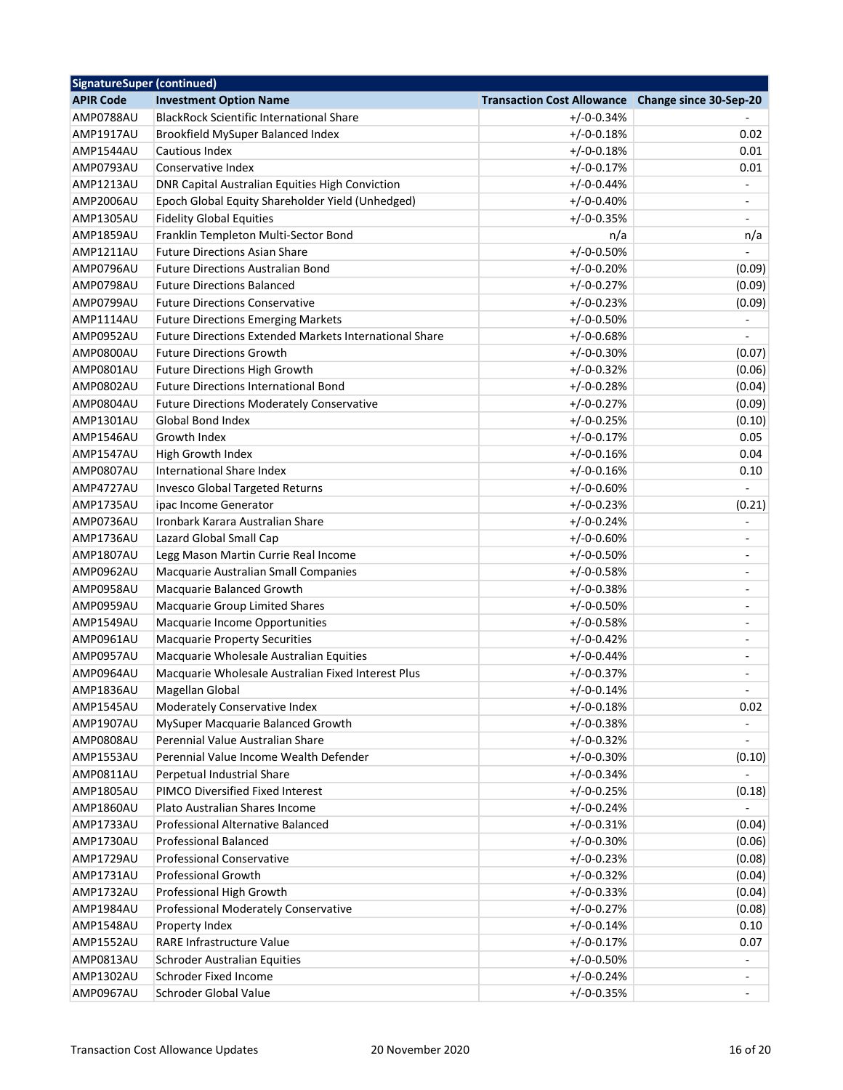| <b>SignatureSuper (continued)</b> |                                                               |                                                   |                          |
|-----------------------------------|---------------------------------------------------------------|---------------------------------------------------|--------------------------|
| <b>APIR Code</b>                  | <b>Investment Option Name</b>                                 | Transaction Cost Allowance Change since 30-Sep-20 |                          |
| AMP0788AU                         | <b>BlackRock Scientific International Share</b>               | $+/-0-0.34%$                                      |                          |
| AMP1917AU                         | Brookfield MySuper Balanced Index                             | $+/-0-0.18%$                                      | 0.02                     |
| AMP1544AU                         | Cautious Index                                                | $+/-0-0.18%$                                      | 0.01                     |
| AMP0793AU                         | Conservative Index                                            | $+/-0-0.17%$                                      | 0.01                     |
| AMP1213AU                         | DNR Capital Australian Equities High Conviction               | $+/-0-0.44%$                                      |                          |
| AMP2006AU                         | Epoch Global Equity Shareholder Yield (Unhedged)              | $+/-0-0.40%$                                      |                          |
| <b>AMP1305AU</b>                  | <b>Fidelity Global Equities</b>                               | $+/-0-0.35%$                                      |                          |
| AMP1859AU                         | Franklin Templeton Multi-Sector Bond                          | n/a                                               | n/a                      |
| AMP1211AU                         | <b>Future Directions Asian Share</b>                          | $+/-0-0.50%$                                      |                          |
| AMP0796AU                         | <b>Future Directions Australian Bond</b>                      | $+/-0-0.20%$                                      | (0.09)                   |
| AMP0798AU                         | <b>Future Directions Balanced</b>                             | $+/-0-0.27%$                                      | (0.09)                   |
| AMP0799AU                         | <b>Future Directions Conservative</b>                         | $+/-0-0.23%$                                      | (0.09)                   |
| AMP1114AU                         | <b>Future Directions Emerging Markets</b>                     | $+/-0-0.50%$                                      |                          |
| AMP0952AU                         | <b>Future Directions Extended Markets International Share</b> | $+/-0-0.68%$                                      |                          |
| AMP0800AU                         | <b>Future Directions Growth</b>                               | $+/-0-0.30%$                                      | (0.07)                   |
| AMP0801AU                         | Future Directions High Growth                                 | $+/-0-0.32%$                                      | (0.06)                   |
| <b>AMP0802AU</b>                  | <b>Future Directions International Bond</b>                   | $+/-0-0.28%$                                      | (0.04)                   |
| AMP0804AU                         | <b>Future Directions Moderately Conservative</b>              | $+/-0-0.27%$                                      | (0.09)                   |
| <b>AMP1301AU</b>                  | <b>Global Bond Index</b>                                      | $+/-0-0.25%$                                      | (0.10)                   |
| AMP1546AU                         | Growth Index                                                  | $+/-0-0.17%$                                      | 0.05                     |
| AMP1547AU                         | High Growth Index                                             | $+/-0-0.16%$                                      | 0.04                     |
| AMP0807AU                         | International Share Index                                     | $+/-0-0.16%$                                      | 0.10                     |
| AMP4727AU                         | Invesco Global Targeted Returns                               | $+/-0-0.60%$                                      |                          |
| AMP1735AU                         | ipac Income Generator                                         | $+/-0-0.23%$                                      | (0.21)                   |
| AMP0736AU                         | Ironbark Karara Australian Share                              | $+/-0-0.24%$                                      |                          |
| AMP1736AU                         | Lazard Global Small Cap                                       | $+/-0-0.60%$                                      |                          |
| <b>AMP1807AU</b>                  | Legg Mason Martin Currie Real Income                          | $+/-0-0.50%$                                      |                          |
| AMP0962AU                         | Macquarie Australian Small Companies                          | $+/-0-0.58%$                                      |                          |
| AMP0958AU                         | Macquarie Balanced Growth                                     | $+/-0-0.38%$                                      | ÷,                       |
| AMP0959AU                         | Macquarie Group Limited Shares                                | $+/-0-0.50%$                                      | ÷                        |
| AMP1549AU                         | Macquarie Income Opportunities                                | $+/-0-0.58%$                                      | $\overline{\phantom{0}}$ |
| AMP0961AU                         | <b>Macquarie Property Securities</b>                          | $+/-0-0.42%$                                      | $\overline{a}$           |
|                                   |                                                               | $+/-0-0.44%$                                      |                          |
| AMP0957AU                         | Macquarie Wholesale Australian Equities                       |                                                   |                          |
| AMP0964AU                         | Macquarie Wholesale Australian Fixed Interest Plus            | $+/-0-0.37%$                                      |                          |
| AMP1836AU                         | Magellan Global                                               | $+/-0-0.14%$                                      |                          |
| AMP1545AU                         | Moderately Conservative Index                                 | $+/-0-0.18%$                                      | 0.02                     |
| AMP1907AU                         | MySuper Macquarie Balanced Growth                             | $+/-0-0.38%$                                      |                          |
| AMP0808AU                         | Perennial Value Australian Share                              | $+/-0-0.32%$                                      |                          |
| AMP1553AU                         | Perennial Value Income Wealth Defender                        | $+/-0-0.30%$                                      | (0.10)                   |
| AMP0811AU                         | Perpetual Industrial Share                                    | $+/-0-0.34%$                                      |                          |
| AMP1805AU                         | PIMCO Diversified Fixed Interest                              | $+/-0-0.25%$                                      | (0.18)                   |
| AMP1860AU                         | Plato Australian Shares Income                                | $+/-0-0.24%$                                      |                          |
| AMP1733AU                         | Professional Alternative Balanced                             | $+/-0-0.31%$                                      | (0.04)                   |
| AMP1730AU                         | <b>Professional Balanced</b>                                  | $+/-0-0.30%$                                      | (0.06)                   |
| AMP1729AU                         | Professional Conservative                                     | $+/-0-0.23%$                                      | (0.08)                   |
| AMP1731AU                         | <b>Professional Growth</b>                                    | $+/-0-0.32%$                                      | (0.04)                   |
| AMP1732AU                         | Professional High Growth                                      | $+/-0-0.33%$                                      | (0.04)                   |
| AMP1984AU                         | Professional Moderately Conservative                          | $+/-0-0.27%$                                      | (0.08)                   |
| AMP1548AU                         | Property Index                                                | $+/-0-0.14%$                                      | 0.10                     |
| AMP1552AU                         | RARE Infrastructure Value                                     | $+/-0-0.17%$                                      | 0.07                     |
| AMP0813AU                         | <b>Schroder Australian Equities</b>                           | $+/-0-0.50%$                                      |                          |
| AMP1302AU                         | Schroder Fixed Income                                         | $+/-0-0.24%$                                      |                          |
| AMP0967AU                         | Schroder Global Value                                         | $+/-0-0.35%$                                      | ä,                       |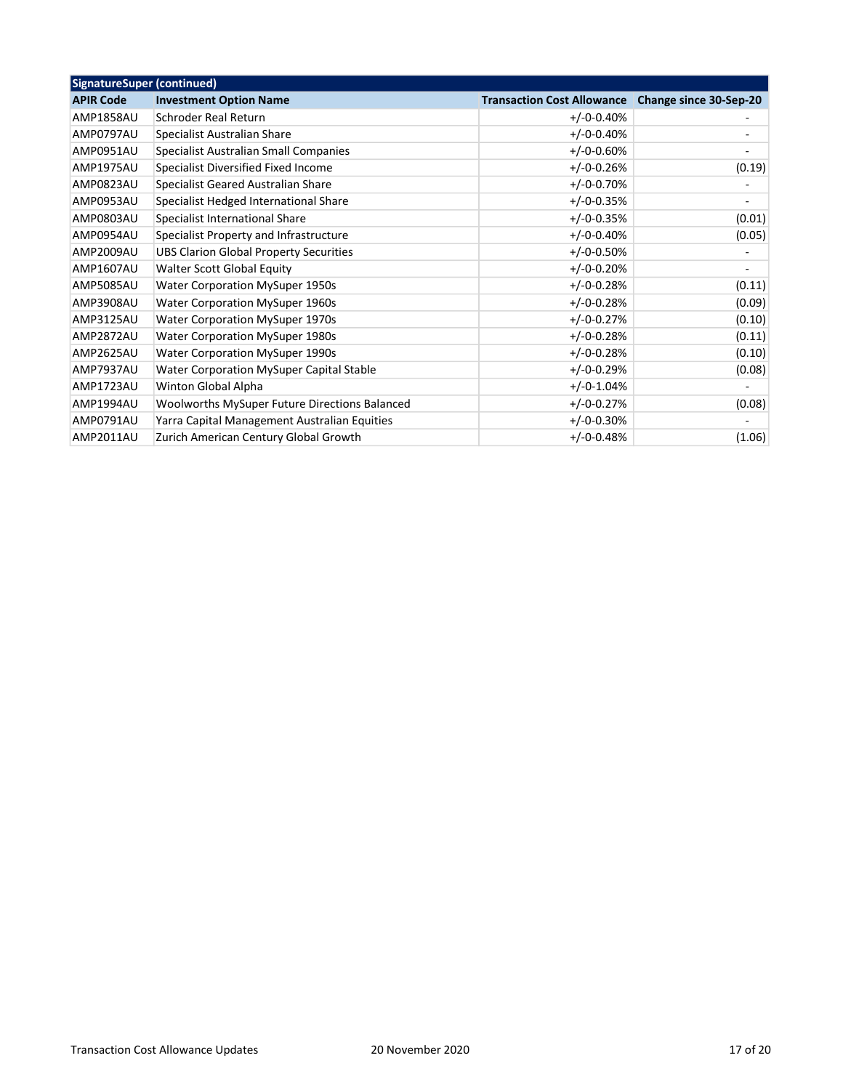| <b>SignatureSuper (continued)</b> |                                                 |                                   |                          |
|-----------------------------------|-------------------------------------------------|-----------------------------------|--------------------------|
| <b>APIR Code</b>                  | <b>Investment Option Name</b>                   | <b>Transaction Cost Allowance</b> | Change since 30-Sep-20   |
| <b>AMP1858AU</b>                  | Schroder Real Return                            | $+/-0-0.40%$                      |                          |
| AMP0797AU                         | Specialist Australian Share                     | $+/-0-0.40%$                      |                          |
| AMP0951AU                         | Specialist Australian Small Companies           | $+/-0-0.60%$                      |                          |
| AMP1975AU                         | Specialist Diversified Fixed Income             | $+/-0-0.26%$                      | (0.19)                   |
| AMP0823AU                         | Specialist Geared Australian Share              | $+/-0-0.70%$                      |                          |
| AMP0953AU                         | Specialist Hedged International Share           | $+/-0-0.35%$                      |                          |
| AMP0803AU                         | Specialist International Share                  | $+/-0-0.35%$                      | (0.01)                   |
| AMP0954AU                         | Specialist Property and Infrastructure          | $+/-0-0.40%$                      | (0.05)                   |
| AMP2009AU                         | <b>UBS Clarion Global Property Securities</b>   | $+/-0-0.50%$                      |                          |
| AMP1607AU                         | Walter Scott Global Equity                      | $+/-0-0.20%$                      | $\overline{\phantom{a}}$ |
| <b>AMP5085AU</b>                  | Water Corporation MySuper 1950s                 | $+/-0-0.28%$                      | (0.11)                   |
| AMP3908AU                         | <b>Water Corporation MySuper 1960s</b>          | $+/-0-0.28%$                      | (0.09)                   |
| AMP3125AU                         | Water Corporation MySuper 1970s                 | $+/-0-0.27%$                      | (0.10)                   |
| AMP2872AU                         | Water Corporation MySuper 1980s                 | $+/-0-0.28%$                      | (0.11)                   |
| AMP2625AU                         | <b>Water Corporation MySuper 1990s</b>          | $+/-0-0.28%$                      | (0.10)                   |
| AMP7937AU                         | <b>Water Corporation MySuper Capital Stable</b> | $+/-0-0.29%$                      | (0.08)                   |
| AMP1723AU                         | Winton Global Alpha                             | $+/-0.1.04%$                      |                          |
| AMP1994AU                         | Woolworths MySuper Future Directions Balanced   | $+/-0-0.27%$                      | (0.08)                   |
| AMP0791AU                         | Yarra Capital Management Australian Equities    | $+/-0-0.30%$                      |                          |
| AMP2011AU                         | Zurich American Century Global Growth           | $+/-0-0.48%$                      | (1.06)                   |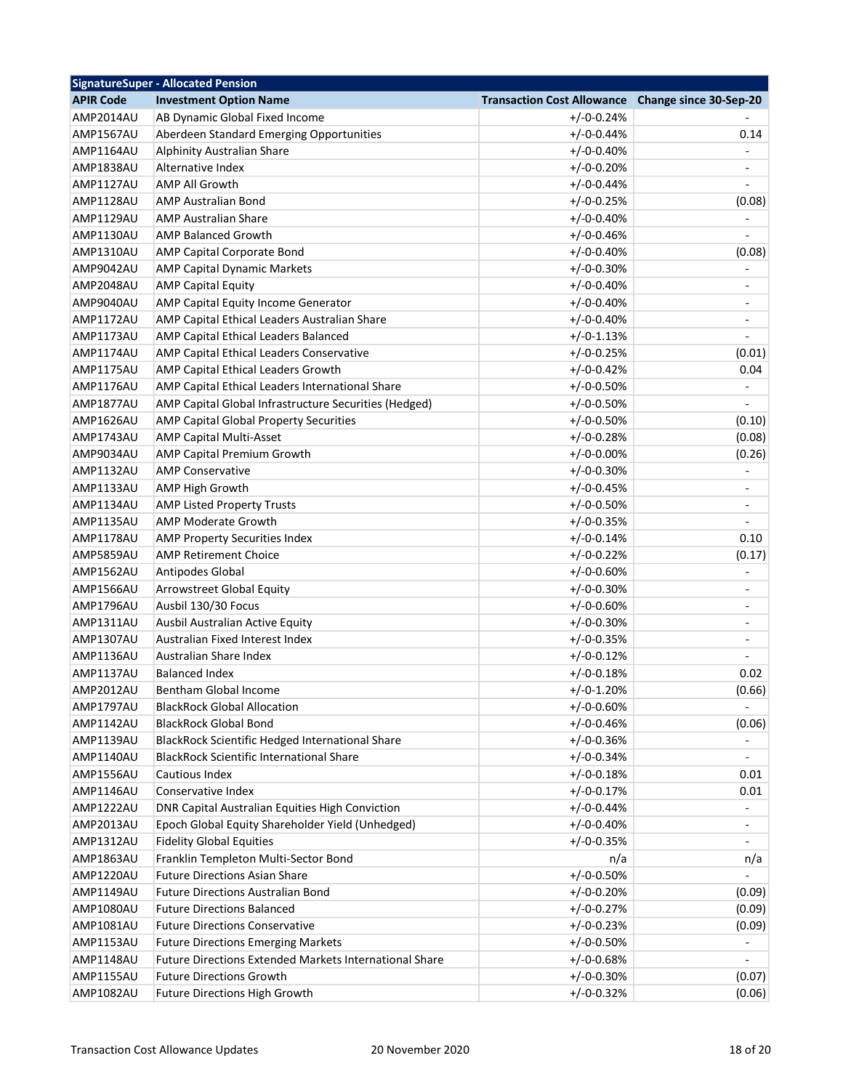| <b>SignatureSuper - Allocated Pension</b> |                                                        |                                                   |                          |
|-------------------------------------------|--------------------------------------------------------|---------------------------------------------------|--------------------------|
| <b>APIR Code</b>                          | <b>Investment Option Name</b>                          | Transaction Cost Allowance Change since 30-Sep-20 |                          |
| AMP2014AU                                 | AB Dynamic Global Fixed Income                         | $+/-0-0.24%$                                      |                          |
| <b>AMP1567AU</b>                          | Aberdeen Standard Emerging Opportunities               | $+/-0-0.44%$                                      | 0.14                     |
| AMP1164AU                                 | Alphinity Australian Share                             | $+/-0-0.40%$                                      |                          |
| AMP1838AU                                 | Alternative Index                                      | $+/-0-0.20%$                                      |                          |
| AMP1127AU                                 | <b>AMP All Growth</b>                                  | $+/-0-0.44%$                                      |                          |
| AMP1128AU                                 | <b>AMP Australian Bond</b>                             | $+/-0-0.25%$                                      | (0.08)                   |
| AMP1129AU                                 | <b>AMP Australian Share</b>                            | $+/-0-0.40%$                                      |                          |
| AMP1130AU                                 | <b>AMP Balanced Growth</b>                             | $+/-0-0.46%$                                      |                          |
| AMP1310AU                                 | AMP Capital Corporate Bond                             | $+/-0-0.40%$                                      | (0.08)                   |
| AMP9042AU                                 | <b>AMP Capital Dynamic Markets</b>                     | $+/-0-0.30%$                                      |                          |
| AMP2048AU                                 | <b>AMP Capital Equity</b>                              | $+/-0-0.40%$                                      |                          |
| AMP9040AU                                 | AMP Capital Equity Income Generator                    | $+/-0-0.40%$                                      |                          |
| AMP1172AU                                 | AMP Capital Ethical Leaders Australian Share           | $+/-0-0.40%$                                      | ÷,                       |
| AMP1173AU                                 | AMP Capital Ethical Leaders Balanced                   | $+/-0-1.13%$                                      |                          |
| <b>AMP1174AU</b>                          | AMP Capital Ethical Leaders Conservative               | $+/-0-0.25%$                                      | (0.01)                   |
| AMP1175AU                                 | AMP Capital Ethical Leaders Growth                     | $+/-0-0.42%$                                      | 0.04                     |
| AMP1176AU                                 | AMP Capital Ethical Leaders International Share        | $+/-0-0.50%$                                      |                          |
| AMP1877AU                                 | AMP Capital Global Infrastructure Securities (Hedged)  | $+/-0-0.50%$                                      |                          |
| AMP1626AU                                 | AMP Capital Global Property Securities                 | $+/-0-0.50%$                                      | (0.10)                   |
| AMP1743AU                                 | AMP Capital Multi-Asset                                | $+/-0-0.28%$                                      | (0.08)                   |
| AMP9034AU                                 | AMP Capital Premium Growth                             | $+/-0-0.00%$                                      | (0.26)                   |
| AMP1132AU                                 | <b>AMP Conservative</b>                                | $+/-0-0.30%$                                      |                          |
| AMP1133AU                                 | AMP High Growth                                        | $+/-0-0.45%$                                      |                          |
| AMP1134AU                                 | <b>AMP Listed Property Trusts</b>                      | $+/-0-0.50%$                                      |                          |
| AMP1135AU                                 | AMP Moderate Growth                                    | $+/-0-0.35%$                                      |                          |
| AMP1178AU                                 | AMP Property Securities Index                          | $+/-0-0.14%$                                      | 0.10                     |
| AMP5859AU                                 | <b>AMP Retirement Choice</b>                           | $+/-0-0.22%$                                      | (0.17)                   |
| AMP1562AU                                 | Antipodes Global                                       | $+/-0-0.60%$                                      |                          |
| AMP1566AU                                 | Arrowstreet Global Equity                              | $+/-0-0.30%$                                      | ÷                        |
| AMP1796AU                                 | Ausbil 130/30 Focus                                    | $+/-0-0.60%$                                      | $\overline{a}$           |
| AMP1311AU                                 | Ausbil Australian Active Equity                        | $+/-0-0.30%$                                      | $\overline{a}$           |
| <b>AMP1307AU</b>                          | Australian Fixed Interest Index                        | $+/-0-0.35%$                                      | $\overline{\phantom{0}}$ |
| AMP1136AU                                 | Australian Share Index                                 | $+/-0-0.12%$                                      |                          |
| AMP1137AU                                 | <b>Balanced Index</b>                                  | $+/-0-0.18%$                                      | 0.02                     |
| <b>AMP2012AU</b>                          | Bentham Global Income                                  | $+/-0-1.20%$                                      | (0.66)                   |
|                                           |                                                        |                                                   |                          |
| AMP1797AU                                 | <b>BlackRock Global Allocation</b>                     | $+/-0-0.60%$                                      |                          |
| AMP1142AU                                 | <b>BlackRock Global Bond</b>                           | $+/-0-0.46%$                                      | (0.06)                   |
| AMP1139AU                                 | BlackRock Scientific Hedged International Share        | $+/-0-0.36%$                                      |                          |
| AMP1140AU                                 | <b>BlackRock Scientific International Share</b>        | $+/-0-0.34%$                                      |                          |
| AMP1556AU                                 | Cautious Index                                         | $+/-0-0.18%$                                      | 0.01                     |
| AMP1146AU                                 | Conservative Index                                     | $+/-0-0.17%$                                      | 0.01                     |
| AMP1222AU                                 | DNR Capital Australian Equities High Conviction        | $+/-0-0.44%$                                      |                          |
| AMP2013AU                                 | Epoch Global Equity Shareholder Yield (Unhedged)       | $+/-0-0.40%$                                      |                          |
| AMP1312AU                                 | <b>Fidelity Global Equities</b>                        | $+/-0-0.35%$                                      |                          |
| AMP1863AU                                 | Franklin Templeton Multi-Sector Bond                   | n/a                                               | n/a                      |
| AMP1220AU                                 | <b>Future Directions Asian Share</b>                   | $+/-0-0.50%$                                      |                          |
| AMP1149AU                                 | <b>Future Directions Australian Bond</b>               | $+/-0-0.20%$                                      | (0.09)                   |
| AMP1080AU                                 | <b>Future Directions Balanced</b>                      | $+/-0-0.27%$                                      | (0.09)                   |
| AMP1081AU                                 | <b>Future Directions Conservative</b>                  | $+/-0-0.23%$                                      | (0.09)                   |
| AMP1153AU                                 | <b>Future Directions Emerging Markets</b>              | $+/-0-0.50%$                                      |                          |
| AMP1148AU                                 | Future Directions Extended Markets International Share | $+/-0-0.68%$                                      |                          |
| AMP1155AU                                 | <b>Future Directions Growth</b>                        | $+/-0-0.30%$                                      | (0.07)                   |
| AMP1082AU                                 | <b>Future Directions High Growth</b>                   | $+/-0-0.32%$                                      | (0.06)                   |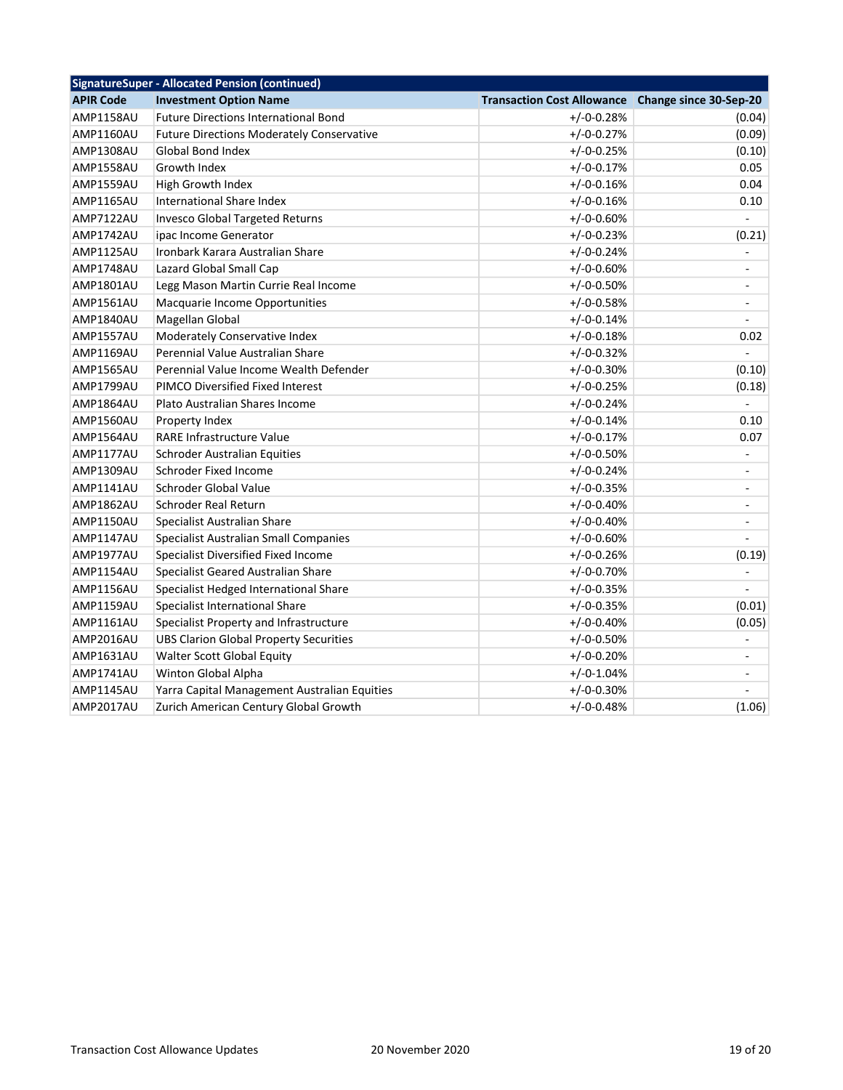| <b>SignatureSuper - Allocated Pension (continued)</b> |                                                  |                                   |                          |  |
|-------------------------------------------------------|--------------------------------------------------|-----------------------------------|--------------------------|--|
| <b>APIR Code</b>                                      | <b>Investment Option Name</b>                    | <b>Transaction Cost Allowance</b> | Change since 30-Sep-20   |  |
| AMP1158AU                                             | <b>Future Directions International Bond</b>      | $+/-0-0.28%$                      | (0.04)                   |  |
| AMP1160AU                                             | <b>Future Directions Moderately Conservative</b> | $+/-0-0.27%$                      | (0.09)                   |  |
| <b>AMP1308AU</b>                                      | <b>Global Bond Index</b>                         | $+/-0-0.25%$                      | (0.10)                   |  |
| <b>AMP1558AU</b>                                      | Growth Index                                     | $+/-0-0.17%$                      | 0.05                     |  |
| AMP1559AU                                             | High Growth Index                                | $+/-0-0.16%$                      | 0.04                     |  |
| AMP1165AU                                             | International Share Index                        | $+/-0-0.16%$                      | 0.10                     |  |
| AMP7122AU                                             | <b>Invesco Global Targeted Returns</b>           | $+/-0-0.60%$                      | $\overline{a}$           |  |
| AMP1742AU                                             | ipac Income Generator                            | $+/-0-0.23%$                      | (0.21)                   |  |
| AMP1125AU                                             | Ironbark Karara Australian Share                 | $+/-0-0.24%$                      | $\overline{\phantom{a}}$ |  |
| AMP1748AU                                             | Lazard Global Small Cap                          | $+/-0-0.60%$                      | $\overline{\phantom{a}}$ |  |
| AMP1801AU                                             | Legg Mason Martin Currie Real Income             | $+/-0-0.50%$                      | $\overline{\phantom{a}}$ |  |
| <b>AMP1561AU</b>                                      | Macquarie Income Opportunities                   | $+/-0-0.58%$                      | $\blacksquare$           |  |
| AMP1840AU                                             | Magellan Global                                  | $+/-0-0.14%$                      |                          |  |
| AMP1557AU                                             | Moderately Conservative Index                    | $+/-0-0.18%$                      | 0.02                     |  |
| AMP1169AU                                             | Perennial Value Australian Share                 | $+/-0-0.32%$                      |                          |  |
| AMP1565AU                                             | Perennial Value Income Wealth Defender           | $+/-0-0.30%$                      | (0.10)                   |  |
| AMP1799AU                                             | PIMCO Diversified Fixed Interest                 | $+/-0-0.25%$                      | (0.18)                   |  |
| AMP1864AU                                             | Plato Australian Shares Income                   | $+/-0-0.24%$                      | L.                       |  |
| AMP1560AU                                             | Property Index                                   | $+/-0-0.14%$                      | 0.10                     |  |
| AMP1564AU                                             | <b>RARE Infrastructure Value</b>                 | $+/-0-0.17%$                      | 0.07                     |  |
| <b>AMP1177AU</b>                                      | Schroder Australian Equities                     | $+/-0-0.50%$                      | $\blacksquare$           |  |
| AMP1309AU                                             | Schroder Fixed Income                            | $+/-0-0.24%$                      | $\blacksquare$           |  |
| AMP1141AU                                             | Schroder Global Value                            | $+/-0-0.35%$                      | $\blacksquare$           |  |
| AMP1862AU                                             | Schroder Real Return                             | $+/-0-0.40%$                      | $\blacksquare$           |  |
| AMP1150AU                                             | Specialist Australian Share                      | $+/-0-0.40%$                      | $\sim$                   |  |
| AMP1147AU                                             | Specialist Australian Small Companies            | $+/-0-0.60%$                      |                          |  |
| AMP1977AU                                             | Specialist Diversified Fixed Income              | $+/-0-0.26%$                      | (0.19)                   |  |
| AMP1154AU                                             | Specialist Geared Australian Share               | $+/-0-0.70%$                      |                          |  |
| AMP1156AU                                             | Specialist Hedged International Share            | $+/-0-0.35%$                      |                          |  |
| AMP1159AU                                             | Specialist International Share                   | $+/-0-0.35%$                      | (0.01)                   |  |
| <b>AMP1161AU</b>                                      | Specialist Property and Infrastructure           | $+/-0-0.40%$                      | (0.05)                   |  |
| AMP2016AU                                             | <b>UBS Clarion Global Property Securities</b>    | $+/-0-0.50%$                      |                          |  |
| AMP1631AU                                             | Walter Scott Global Equity                       | $+/-0-0.20%$                      | $\overline{\phantom{a}}$ |  |
| AMP1741AU                                             | Winton Global Alpha                              | $+/-0-1.04%$                      | $\blacksquare$           |  |
| AMP1145AU                                             | Yarra Capital Management Australian Equities     | $+/-0-0.30%$                      |                          |  |
| <b>AMP2017AU</b>                                      | Zurich American Century Global Growth            | $+/-0-0.48%$                      | (1.06)                   |  |